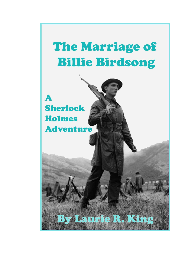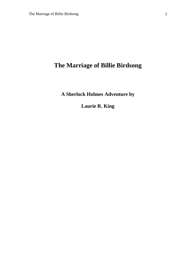# **The Marriage of Billie Birdsong**

**A Sherlock Holmes Adventure by**

**Laurie R. King**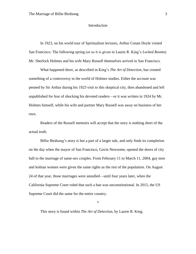#### Introduction

In 1923, on his world tour of Spiritualism lectures, Arthur Conan Doyle visited San Francisco. The following spring (or so it is given in Laurie R. King's *Locked Rooms*) Mr. Sherlock Holmes and his wife Mary Russell themselves arrived in San Francisco.

What happened there, as described in King's *The Art of Detection*, has created something of a controversy in the world of Holmes studies. Either the account was penned by Sir Arthur during his 1923 visit to this skeptical city, then abandoned and left unpublished for fear of shocking his devoted readers—or it was written in 1924 by Mr. Holmes himself, while his wife and partner Mary Russell was away on business of her own.

Readers of the Russell memoirs will accept that the story is nothing short of the actual truth.

Billie Birdsong's story is but a part of a larger tale, and only finds its completion on the day when the mayor of San Francisco, Gavin Newsome, opened the doors of city hall to the marriage of same-sex couples. From February 11 to March 11, 2004, gay men and lesbian women were given the same rights as the rest of the population. On August 24 of that year, those marriages were annulled—until four years later, when the California Supreme Court ruled that such a ban was unconstitutional. In 2015, the US Supreme Court did the same for the entire country.

\*

This story is found within *The Art of Detection*, by Laurie R. King.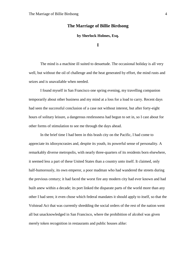# **The Marriage of Billie Birdsong**

## **by Sherlock Holmes, Esq.**

**I**

The mind is a machine ill suited to desuetude. The occasional holiday is all very well, but without the oil of challenge and the heat generated by effort, the mind rusts and seizes and is unavailable when needed.

I found myself in San Francisco one spring evening, my travelling companion temporarily about other business and my mind at a loss for a load to carry. Recent days had seen the successful conclusion of a case not without interest, but after forty-eight hours of solitary leisure, a dangerous restlessness had begun to set in, so I cast about for other forms of stimulation to see me through the days ahead.

In the brief time I had been in this brash city on the Pacific, I had come to appreciate its idiosyncrasies and, despite its youth, its powerful sense of personality. A remarkably diverse metropolis, with nearly three-quarters of its residents born elsewhere, it seemed less a part of these United States than a country unto itself. It claimed, only half-humorously, its own emperor, a poor madman who had wandered the streets during the previous century; it had faced the worst fire any modern city had ever known and had built anew within a decade; its port linked the disparate parts of the world more than any other I had seen; it even chose which federal mandates it should apply to itself, so that the Volstead Act that was currently shredding the social orders of the rest of the nation went all but unacknowledged in San Francisco, where the prohibition of alcohol was given merely token recognition in restaurants and public houses alike: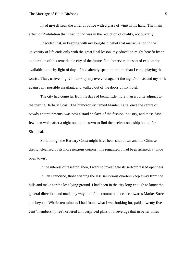I had myself seen the chief of police with a glass of wine in his hand. The main effect of Prohibition that I had found was in the reduction of quality, not quantity.

I decided that, in keeping with my long-held belief that matriculation in the university of life ends only with the great final lesson, my education might benefit by an exploration of this remarkable city of the future. Not, however, the sort of exploration available to me by light of day—I had already spent more time than I cared playing the tourist. Thus, as evening fell I took up my overcoat against the night's mists and my stick against any possible assailant, and walked out of the doors of my hotel.

The city had come far from its days of being little more than a polite adjunct to the roaring Barbary Coast. The humorously named Maiden Lane, once the centre of bawdy entertainments, was now a staid enclave of the fashion industry, and these days, few men woke after a night out on the town to find themselves on a ship bound for Shanghai.

Still, though the Barbary Coast might have been shut down and the Chinese district cleansed of its more noxious corners, this remained, I had been assured, a 'wide open town'.

In the interest of research, then, I went to investigate its self-professed openness.

In San Francisco, those wishing the less salubrious quarters keep away from the hills and make for the low-lying ground. I had been in the city long enough to know the general direction, and made my way out of the commercial centre towards Market Street, and beyond. Within ten minutes I had found what I was looking for, paid a twenty fivecent 'membership fee', ordered an overpriced glass of a beverage that in better times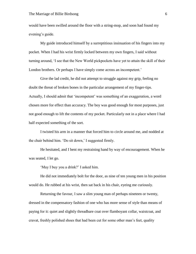would have been swilled around the floor with a string-mop, and soon had found my evening's guide.

My guide introduced himself by a surreptitious insinuation of his fingers into my pocket. When I had his wrist firmly locked between my own fingers, I said without turning around, 'I see that the New World pickpockets have yet to attain the skill of their London brothers. Or perhaps I have simply come across an incompetent.'

Give the lad credit, he did not attempt to struggle against my grip, feeling no doubt the threat of broken bones in the particular arrangement of my finger-tips. Actually, I should admit that 'incompetent' was something of an exaggeration, a word chosen more for effect than accuracy. The boy was good enough for most purposes, just not good enough to lift the contents of my pocket. Particularly not in a place where I had half expected something of the sort.

I twisted his arm in a manner that forced him to circle around me, and nodded at the chair behind him. 'Do sit down,' I suggested firmly.

He hesitated, and I bent my restraining hand by way of encouragement. When he was seated, I let go.

'May I buy you a drink?' I asked him.

He did not immediately bolt for the door, as nine of ten young men in his position would do. He rubbed at his wrist, then sat back in his chair, eyeing me curiously.

Returning the favour, I saw a slim young man of perhaps nineteen or twenty, dressed in the compensatory fashion of one who has more sense of style than means of paying for it: quiet and slightly threadbare coat over flamboyant collar, waistcoat, and cravat, freshly polished shoes that had been cut for some other man's feet, quality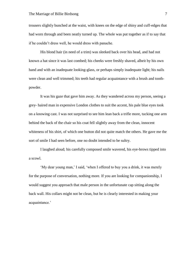trousers slightly bunched at the waist, with knees on the edge of shiny and cuff-edges that had worn through and been neatly turned up. The whole was put together as if to say that if he couldn't dress well, he would dress with panache.

His blond hair (in need of a trim) was sleeked back over his head, and had not known a hat since it was last combed; his cheeks were freshly shaved, albeit by his own hand and with an inadequate looking-glass, or perhaps simply inadequate light; his nails were clean and well trimmed; his teeth had regular acquaintance with a brush and toothpowder.

It was his gaze that gave him away. As they wandered across my person, seeing a grey- haired man in expensive London clothes to suit the accent, his pale blue eyes took on a knowing cast. I was not surprised to see him lean back a trifle more, tucking one arm behind the back of the chair so his coat fell slightly away from the clean, innocent whiteness of his shirt, of which one button did not quite match the others. He gave me the sort of smile I had seen before, one no doubt intended to be sultry.

I laughed aloud; his carefully composed smile wavered, his eye-brows tipped into a scowl.

'My dear young man,' I said, 'when I offered to buy you a drink, it was merely for the purpose of conversation, nothing more. If you are looking for companionship, I would suggest you approach that male person in the unfortunate cap sitting along the back wall. His collars might not be clean, but he is clearly interested in making your acquaintance.'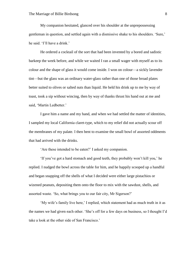My companion hesitated, glanced over his shoulder at the unprepossessing gentleman in question, and settled again with a dismissive shake to his shoulders. 'Sure,' he said. 'I'll have a drink.'

He ordered a cocktail of the sort that had been invented by a bored and sadistic barkeep the week before, and while we waited I ran a small wager with myself as to its colour and the shape of glass it would come inside. I won on colour—a sickly lavender tint—but the glass was an ordinary water-glass rather than one of those broad plates better suited to olives or salted nuts than liquid. He held his drink up to me by way of toast, took a sip without wincing, then by way of thanks thrust his hand out at me and said, 'Martin Ledbetter.'

I gave him a name and my hand, and when we had settled the matter of identities, I sampled my local California claret-type, which to my relief did not actually scour off the membranes of my palate. I then bent to examine the small bowl of assorted oddments that had arrived with the drinks.

'Are these intended to be eaten?' I asked my companion.

'If you've got a hard stomach and good teeth, they probably won't kill you,' he replied. I nudged the bowl across the table for him, and he happily scooped up a handful and began snapping off the shells of what I decided were either large pistachios or wizened peanuts, depositing them onto the floor to mix with the sawdust, shells, and assorted waste. 'So, what brings you to our fair city, Mr Sigerson?'

'My wife's family live here,' I replied, which statement had as much truth in it as the names we had given each other. 'She's off for a few days on business, so I thought I'd take a look at the other side of San Francisco.'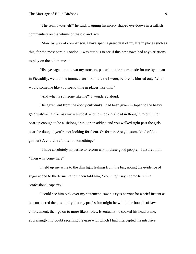'The seamy tour, eh?' he said, wagging his nicely shaped eye-brows in a raffish commentary on the whims of the old and rich.

'More by way of comparison. I have spent a great deal of my life in places such as this, for the most part in London. I was curious to see if this new town had any variations to play on the old themes.'

His eyes again ran down my trousers, paused on the shoes made for me by a man in Piccadilly, went to the immaculate silk of the tie I wore, before he blurted out, 'Why would someone like you spend time in places like this?'

'And what is someone like me?' I wondered aloud.

His gaze went from the ebony cuff-links I had been given in Japan to the heavy gold watch-chain across my waistcoat, and he shook his head in thought. 'You're not beat-up enough to be a lifelong drunk or an addict, and you walked right past the girls near the door, so you're not looking for them. Or for me. Are you some kind of dogooder? A church reformer or something?'

'I have absolutely no desire to reform any of these good people,' I assured him. 'Then why come here?'

I held up my wine to the dim light leaking from the bar, noting the evidence of sugar added to the fermentation, then told him, 'You might say I come here in a professional capacity.'

I could see him pick over my statement, saw his eyes narrow for a brief instant as he considered the possibility that my profession might be within the bounds of law enforcement, then go on to more likely roles. Eventually he cocked his head at me, appraisingly, no doubt recalling the ease with which I had intercepted his intrusive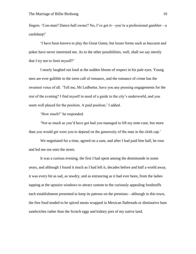fingers. 'Con-man? Dance-hall owner? No, I've got it—you're a professional gambler—a cardsharp!'

'I have been known to play the Great Game, but lesser forms such as baccarat and poker have never interested me. As to the other possibilities, well, shall we say merely that I try not to limit myself?'

I nearly laughed out loud at the sudden bloom of respect in his pale eyes. Young men are ever gullible to the siren call of romance, and the romance of crime has the sweetest voice of all. 'Tell me, Mr Ledbetter, have you any pressing engagements for the rest of the evening? I find myself in need of a guide to the city's underworld, and you seem well placed for the position. A paid position,' I added.

'How much?' he responded.

'Not as much as you'd have got had you managed to lift my note-case, but more than you would get were you to depend on the generosity of the man in the cloth cap.'

We negotiated for a time, agreed on a sum, and after I had paid him half, he rose and led me out onto the street.

It was a curious evening, the first I had spent among the demimonde in some years, and although I found it much as I had left it, decades before and half a world away, it was every bit as sad, as tawdry, and as entrancing as it had ever been, from the ladies tapping at the upstairs windows to attract custom to the curiously appealing foodstuffs each establishment presented to keep its patrons on the premises—although in this town, the free food tended to be spiced meats wrapped in Mexican flatbreads or diminutive ham sandwiches rather than the Scotch eggs and kidney pies of my native land.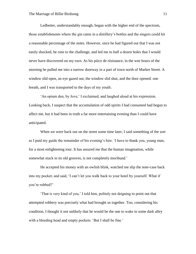Ledbetter, understandably enough, began with the higher end of the spectrum, those establishments where the gin came in a distillery's bottles and the singers could hit a reasonable percentage of the notes. However, once he had figured out that I was not easily shocked, he rose to the challenge, and led me to half a dozen holes that I would never have discovered on my own. As his pièce de résistance, in the wee hours of the morning he pulled me into a narrow doorway in a part of town north of Market Street. A window slid open, an eye gazed out, the window slid shut, and the door opened: one breath, and I was transported to the days of my youth.

'An opium den, by Jove,' I exclaimed, and laughed aloud at his expression. Looking back, I suspect that the accumulation of odd spirits I had consumed had begun to affect me, but it had been in truth a far more entertaining evening than I could have anticipated.

When we were back out on the street some time later, I said something of the sort as I paid my guide the remainder of his evening's hire. 'I have to thank you, young man, for a most enlightening tour. It has assured me that the human imagination, while somewhat stuck in its old grooves, is not completely moribund.'

He accepted his money with an owlish blink, watched me slip the note-case back into my pocket, and said, 'I can't let you walk back to your hotel by yourself. What if you're robbed?'

'That is very kind of you,' I told him, politely not deigning to point out that attempted robbery was precisely what had brought us together. Too, considering his condition, I thought it not unlikely that he would be the one to wake in some dark alley with a bleeding head and empty pockets. 'But I shall be fine.'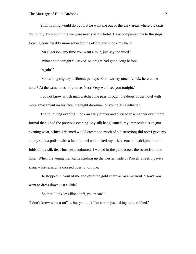Still, nothing would do but that he walk me out of the dark areas where the taxis do not ply, by which time we were nearly at my hotel. He accompanied me to the steps, looking considerably more sober for the effort, and shook my hand.

'Mr Sigerson, any time you want a tour, just say the word.'

'What about tonight?' I asked. Midnight had gone, long before.

'Again?'

'Something slightly different, perhaps. Shall we say nine o'clock, here at the hotel? At the same rates, of course. Yes? Very well, see you tonight.'

I do not know which man watched me pass through the doors of the hotel with more amazement on his face, the night doorman, or young Mr Ledbetter.

The following evening I took an early dinner and dressed in a manner even more formal than I had the previous evening. My silk hat gleamed, my immaculate suit (not evening wear, which I deemed would create too much of a distraction) did not; I gave my ebony stick a polish with a face-flannel and tucked my prized emerald stickpin into the folds of my silk tie. Thus besplendoured, I waited in the park across the street from the hotel. When the young man came striding up the western side of Powell Street, I gave a sharp whistle, and he crossed over to join me.

He stopped in front of me and eyed the gold chain across my front. 'Don't you want to dress down just a little?'

'So that I look less like a toff, you mean?'

'I don't know what a toff is, but you look like a man just asking to be robbed.'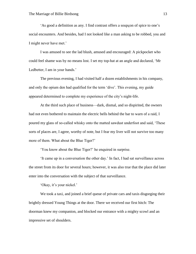'As good a definition as any. I find contrast offers a soupçon of spice to one's social encounters. And besides, had I not looked like a man asking to be robbed, you and I might never have met.'

I was amused to see the lad blush, amused and encouraged: A pickpocket who could feel shame was by no means lost. I set my top-hat at an angle and declared, 'Mr Ledbetter, I am in your hands.'

The previous evening, I had visited half a dozen establishments in his company, and only the opium den had qualified for the term 'dive'. This evening, my guide appeared determined to complete my experience of the city's night-life.

At the third such place of business—dark, dismal, and so dispirited, the owners had not even bothered to maintain the electric bells behind the bar to warn of a raid, I poured my glass of so-called whisky onto the matted sawdust underfoot and said, 'These sorts of places are, I agree, worthy of note, but I fear my liver will not survive too many more of them. What about the Blue Tiger?'

'You know about the Blue Tiger?' he enquired in surprise.

'It came up in a conversation the other day.' In fact, I had sat surveillance across the street from its door for several hours; however, it was also true that the place did later enter into the conversation with the subject of that surveillance.

'Okay, it's your nickel.'

We took a taxi, and joined a brief queue of private cars and taxis disgorging their brightly dressed Young Things at the door. There we received our first hitch: The doorman knew my companion, and blocked our entrance with a mighty scowl and an impressive set of shoulders.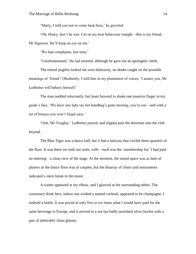'Marty, I told you not to come back here,' he growled.

'Oh, Henry, don't be wet. I'm on my best behaviour tonight—this is my friend, Mr Sigerson. He'll keep an eye on me.'

'We had complaints, last time.'

'Unsubstantiated,' the lad retorted, although he gave me an apologetic smile.

The retired pugilist looked me over dubiously, no doubt caught on the possible meanings of 'friend'. Obediently, I told him in my plummiest of voices, 'I assure you, Mr Ledbetter will behave himself.'

The man nodded reluctantly, but leant forward to shake one massive finger in my guide's face. 'We have one lady say her handbag's gone missing, you're out—and with a set of bruises you won't forget easy.'

'Ooh, Mr Toughie,' Ledbetter purred, and slipped past the doorman into the club beyond.

The Blue Tiger was a dance hall, but it had a balcony that circled three-quarters of the floor. It was there we took our seats, with—such was the 'membership fee' I had paid on entering—a clear view of the stage. At the moment, the raised space was as bare of players as the dance floor was of couples, but the disarray of chairs and instruments indicated a mere break in the music.

A waiter appeared at my elbow, and I glanced at the surrounding tables. The customary drink here, unless one wished a named cocktail, appeared to be champagne; I ordered a bottle. It was priced at only five or six times what I would have paid for the same beverage in Europe, and it arrived in a not too badly tarnished silver bucket with a pair of admirably clean glasses.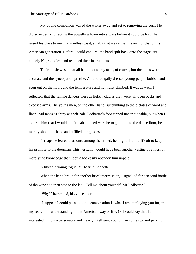My young companion waved the waiter away and set to removing the cork. He did so expertly, directing the upwelling foam into a glass before it could be lost. He raised his glass to me in a wordless toast, a habit that was either his own or that of his American generation. Before I could enquire, the band spilt back onto the stage, six comely Negro ladies, and resumed their instruments.

Their music was not at all bad—not to my taste, of course, but the notes were accurate and the syncopation precise. A hundred gaily dressed young people bobbed and spun out on the floor, and the temperature and humidity climbed. It was as well, I reflected, that the female dancers were as lightly clad as they were, all open backs and exposed arms. The young men, on the other hand, succumbing to the dictates of wool and linen, had faces as shiny as their hair. Ledbetter's foot tapped under the table, but when I assured him that I would not feel abandoned were he to go out onto the dance floor, he merely shook his head and refilled our glasses.

Perhaps he feared that, once among the crowd, he might find it difficult to keep his promise to the doorman. This hesitation could have been another vestige of ethics, or merely the knowledge that I could too easily abandon him unpaid.

A likeable young rogue, Mr Martin Ledbetter.

When the band broke for another brief intermission, I signalled for a second bottle of the wine and then said to the lad, 'Tell me about yourself, Mr Ledbetter.'

'Why?' he replied, his voice short.

'I suppose I could point out that conversation is what I am employing you for, in my search for understanding of the American way of life. Or I could say that I am interested in how a personable and clearly intelligent young man comes to find picking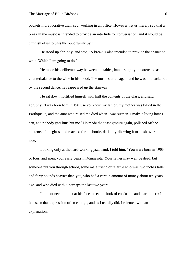pockets more lucrative than, say, working in an office. However, let us merely say that a break in the music is intended to provide an interlude for conversation, and it would be churlish of us to pass the opportunity by.'

He stood up abruptly, and said, 'A break is also intended to provide the chance to whiz. Which I am going to do.'

He made his deliberate way between the tables, hands slightly outstretched as counterbalance to the wine in his blood. The music started again and he was not back, but by the second dance, he reappeared up the stairway.

He sat down, fortified himself with half the contents of the glass, and said abruptly, 'I was born here in 1901, never knew my father, my mother was killed in the Earthquake, and the aunt who raised me died when I was sixteen. I make a living how I can, and nobody gets hurt but me.' He made the toast gesture again, polished off the contents of his glass, and reached for the bottle, defiantly allowing it to slosh over the side.

Looking only at the hard-working jazz band, I told him, 'You were born in 1903 or four, and spent your early years in Minnesota. Your father may well be dead, but someone put you through school, some male friend or relative who was two inches taller and forty pounds heavier than you, who had a certain amount of money about ten years ago, and who died within perhaps the last two years.'

I did not need to look at his face to see the look of confusion and alarm there: I had seen that expression often enough, and as I usually did, I relented with an explanation.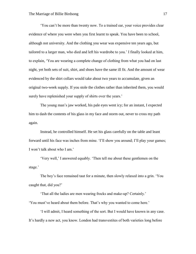'You can't be more than twenty now. To a trained ear, your voice provides clear evidence of where you were when you first learnt to speak. You have been to school, although not university. And the clothing you wear was expensive ten years ago, but tailored to a larger man, who died and left his wardrobe to you.' I finally looked at him, to explain, 'You are wearing a complete change of clothing from what you had on last night, yet both sets of suit, shirt, and shoes have the same ill fit. And the amount of wear evidenced by the shirt collars would take about two years to accumulate, given an original two-week supply. If you stole the clothes rather than inherited them, you would surely have replenished your supply of shirts over the years.'

The young man's jaw worked, his pale eyes went icy; for an instant, I expected him to dash the contents of his glass in my face and storm out, never to cross my path again.

Instead, he controlled himself. He set his glass carefully on the table and leant forward until his face was inches from mine. 'I'll show you around; I'll play your games; I won't talk about who I am.'

'Very well,' I answered equably. 'Then tell me about these gentlemen on the stage.'

The boy's face remained taut for a minute, then slowly relaxed into a grin. 'You caught that, did you?'

'That all the ladies are men wearing frocks and make-up? Certainly.' 'You must've heard about them before. That's why you wanted to come here.'

'I will admit, I heard something of the sort. But I would have known in any case. It's hardly a new act, you know. London had transvestites of both varieties long before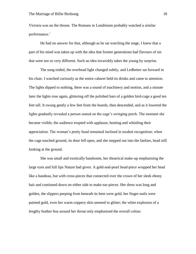Victoria was on the throne. The Romans in Londinium probably watched a similar performance.'

He had no answer for that, although as he sat watching the stage, I knew that a part of his mind was taken up with the idea that former generations had flavours of sin that were not so very different. Such an idea invariably takes the young by surprise.

The song ended, the overhead light changed subtly, and Ledbetter sat forward in his chair. I watched curiously as the entire cabaret held its drinks and came to attention. The lights dipped to nothing, there was a sound of machinery and motion, and a minute later the lights rose again, glittering off the polished bars of a golden bird-cage a good ten feet tall. It swung gently a few feet from the boards, then descended, and as it lowered the lights gradually revealed a person seated on the cage's swinging perch. The moment she became visible, the audience erupted with applause, hooting and whistling their appreciation. The woman's pretty head remained inclined in modest recognition; when the cage touched ground, its door fell open, and she stepped out into the fanfare, head still looking at the ground.

She was small and exotically handsome, her theatrical make-up emphasising the large eyes and full lips Nature had given. A gold-and-pearl head-piece wrapped her head like a bandeau, but with cross-pieces that connected over the crown of her sleek ebony hair and continued down on either side to make ear-pieces. Her dress was long and golden, the slippers peeping from beneath its hem were gold, her finger-nails were painted gold, even her warm coppery skin seemed to glitter; the white explosion of a lengthy feather boa around her throat only emphasised the overall colour.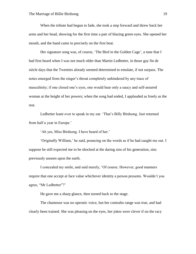When the tribute had begun to fade, she took a step forward and threw back her arms and her head, showing for the first time a pair of blazing green eyes. She opened her mouth, and the band came in precisely on the first beat.

Her signature song was, of course, 'The Bird in the Golden Cage', a tune that I had first heard when I was not much older than Martin Ledbetter, in those gay fin de siècle days that the Twenties already seemed determined to emulate, if not surpass. The notes emerged from the singer's throat completely unhindered by any trace of masculinity; if one closed one's eyes, one would hear only a saucy and self-assured woman at the height of her powers; when the song had ended, I applauded as freely as the rest.

Ledbetter leant over to speak in my ear. 'That's Billy Birdsong. Just returned from half a year in Europe.'

'Ah yes, Miss Birdsong. I have heard of her.'

'Originally William,' he said, pouncing on the words as if he had caught me out. I suppose he still expected me to be shocked at the daring sins of his generation, sins previously unseen upon the earth.

I concealed my smile, and said merely, 'Of course. However, good manners require that one accept at face value whichever identity a person presents. Wouldn't you agree, "Mr Ledbetter"?'

He gave me a sharp glance, then turned back to the stage.

The chanteuse was no operatic voice, but her contralto range was true, and had clearly been trained. She was pleasing on the eyes, her jokes were clever if on the racy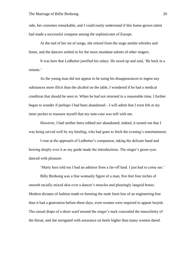side, her costumes remarkable, and I could easily understand if this home-grown talent had made a successful conquest among the sophisticates of Europe.

At the end of her set of songs, she retired from the stage amidst whistles and hoots, and the dancers settled in for the more mundane talents of other singers.

It was here that Ledbetter justified his salary. He stood up and said, 'Be back in a minute.'

As the young man did not appear to be using his disappearances to ingest any substances more illicit than the alcohol on the table, I wondered if he had a medical condition that should be seen to. When he had not returned in a reasonable time, I further began to wonder if perhaps I had been abandoned—I will admit that I even felt at my inner pocket to reassure myself that my note-case was still with me.

However, I had neither been robbed nor abandoned; indeed, it turned out that I was being served well by my hireling, who had gone to fetch the evening's entertainment.

I rose at the approach of Ledbetter's companion, taking the delicate hand and bowing deeply over it as my guide made the introductions. The singer's green eyes danced with pleasure.

'Marty here told me I had an admirer from a far-off land. I just had to come see.'

Billy Birdsong was a fine womanly figure of a man, five feet four inches of smooth racially mixed skin over a dancer's muscles and pleasingly languid bones. Modern dictates of fashion made re-forming the male form less of an engineering feat than it had a generation before-these days, even women were required to appear boyish. The casual drape of a sheer scarf around the singer's neck concealed the masculinity of the throat, and she navigated with assurance on heels higher than many women dared.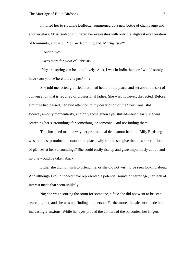I invited her to sit while Ledbetter summoned up a new bottle of champagne and another glass. Miss Birdsong fluttered her eye-lashes with only the slightest exaggeration of femininity, and said, 'You are from England, Mr Sigerson?'

'London, yes.'

'I was there for most of February.'

'Pity, the spring can be quite lovely. Alas, I was in India then, or I would surely have seen you. Where did you perform?'

She told me, acted gratified that I had heard of the place, and set about the sort of conversation that is required of professional ladies. She was, however, distracted. Before a minute had passed, her avid attention to my description of the Suez Canal slid sideways—only momentarily, and only those green eyes shifted—but clearly she was searching her surroundings for something, or someone. And not finding them.

This intrigued me in a way her professional demeanour had not. Billy Birdsong was the most prominent person in the place; why should she give the most surreptitious of glances at her surroundings? She could easily rise up and gaze imperiously about, and no one would be taken aback.

Either she did not wish to offend me, or she did not wish to be seen looking about. And although I could indeed have represented a potential source of patronage, her lack of interest made that seem unlikely.

No; she was scouring the room for someone, a face she did not want to be seen searching out, and she was not finding that person. Furthermore, that absence made her increasingly anxious: While her eyes probed the corners of the balconies, her fingers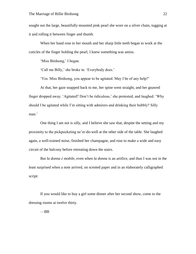sought out the large, beautifully mounted pink pearl she wore on a silver chain, tugging at it and rolling it between finger and thumb.

When her hand rose to her mouth and her sharp little teeth began to work at the cuticles of the finger holding the pearl, I knew something was amiss.

'Miss Birdsong,' I began.

'Call me Billy,' she broke in. 'Everybody does.'

'Yes. Miss Birdsong, you appear to be agitated. May I be of any help?'

At that, her gaze snapped back to me, her spine went straight, and her gnawed finger dropped away. 'Agitated? Don't be ridiculous,' she protested, and laughed. 'Why should I be agitated while I'm sitting with admirers and drinking their bubbly? Silly man.'

One thing I am not is silly, and I believe she saw that, despite the setting and my proximity to the pickpocketing ne'er-do-well at the other side of the table. She laughed again, a well-trained noise, finished her champagne, and rose to make a wide and easy circuit of the balcony before retreating down the stairs.

But *la donna è mobile*, even when *la donna* is an artifice, and thus I was not in the least surprised when a note arrived, on scented paper and in an elaborately calligraphed script:

If you would like to buy a girl some dinner after her second show, come to the dressing rooms at twelve thirty.

—BB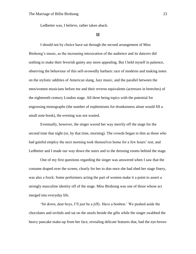Ledbetter was, I believe, rather taken aback.

## **II**

I should not by choice have sat through the second arrangement of Miss Birdsong's music, as the increasing intoxication of the audience and its dancers did nothing to make their feverish gaiety any more appealing. But I held myself in patience, observing the behaviour of this self-avowedly barbaric race of moderns and making notes on the stylistic oddities of American slang, Jazz music, and the parallel between the men/women musicians before me and their reverse equivalents (actresses in breeches) of the eighteenth century London stage. All three being topics with the potential for engrossing monographs (the number of euphemisms for drunkenness alone would fill a small note-book), the evening was not wasted.

Eventually, however, the singer waved her way merrily off the stage for the second time that night (or, by that time, morning). The crowds began to thin as those who had gainful employ the next morning took themselves home for a few hours' rest, and Ledbetter and I made our way down the stairs and to the dressing rooms behind the stage.

One of my first questions regarding the singer was answered when I saw that the costume draped over the screen, clearly for her to don once she had shed her stage finery, was also a frock: Some performers acting the part of women make it a point to assert a strongly masculine identity off of the stage. Miss Birdsong was one of those whose act merged into everyday life.

'Sit down, dear boys, I'll just be a jiffy. Have a bonbon.' We pushed aside the chocolates and orchids and sat on the stools beside the gifts while the singer swabbed the heavy pancake make-up from her face, revealing delicate features that, had the eye-brows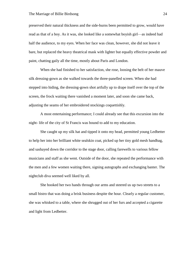preserved their natural thickness and the side-burns been permitted to grow, would have read as that of a boy. As it was, she looked like a somewhat boyish girl—as indeed had half the audience, to my eyes. When her face was clean, however, she did not leave it bare, but replaced the heavy theatrical mask with lighter but equally effective powder and paint, chatting gaily all the time, mostly about Paris and London.

When she had finished to her satisfaction, she rose, loosing the belt of her mauve silk dressing-gown as she walked towards the three-panelled screen. When she had stepped into hiding, the dressing-gown shot artfully up to drape itself over the top of the screen, the frock waiting there vanished a moment later, and soon she came back, adjusting the seams of her embroidered stockings coquettishly.

A most entertaining performance; I could already see that this excursion into the night- life of the city of St Francis was bound to add to my education.

She caught up my silk hat and tipped it onto my head, permitted young Ledbetter to help her into her brilliant white sealskin coat, picked up her tiny gold mesh handbag, and sashayed down the corridor to the stage door, calling farewells to various fellow musicians and staff as she went. Outside of the door, she repeated the performance with the men and a few women waiting there, signing autographs and exchanging banter. The nightclub diva seemed well liked by all.

She hooked her two hands through our arms and steered us up two streets to a small bistro that was doing a brisk business despite the hour. Clearly a regular customer, she was whisked to a table, where she shrugged out of her furs and accepted a cigarette and light from Ledbetter.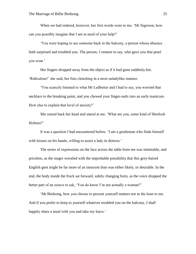When we had ordered, however, her first words were to me. 'Mr Sigerson, how can you possibly imagine that I am in need of your help?'

'You were hoping to see someone back in the balcony, a person whose absence both surprised and troubled you. The person, I venture to say, who gave you that pearl you wear.'

Her fingers dropped away from the object as if it had gone suddenly hot. 'Ridiculous!' she said, her fists clenching in a most unladylike manner.

'You scarcely listened to what Mr Ledbetter and I had to say, you worried that necklace to the breaking point, and you chewed your finger-nails into an early manicure. How else to explain that level of anxiety?'

She reared back her head and stared at me. 'What are you, some kind of Sherlock Holmes?'

It was a question I had encountered before. 'I am a gentleman who finds himself with leisure on his hands, willing to assist a lady in distress.'

The series of expressions on the face across the table from me was inimitable, and priceless, as the singer wrestled with the improbable possibility that this grey-haired English gent might be far more of an innocent than was either likely, or desirable. In the end, the body inside the frock sat forward, subtly changing form, as the voice dropped the better part of an octave to ask, 'You do know I'm not actually a woman?'

'Mr Birdsong, how you choose to present yourself matters not in the least to me. And if you prefer to keep to yourself whatever troubled you on the balcony, I shall happily share a meal with you and take my leave.'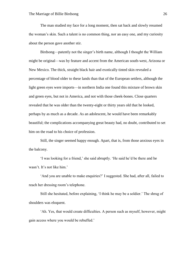The man studied my face for a long moment, then sat back and slowly resumed the woman's skin. Such a talent is no common thing, nor an easy one, and my curiosity about the person gave another stir.

Birdsong—patently not the singer's birth name, although I thought the William might be original—was by feature and accent from the American south-west, Arizona or New Mexico. The thick, straight black hair and exotically tinted skin revealed a percentage of blood older to these lands than that of the European settlers, although the light green eyes were imports—in northern India one found this mixture of brown skin and green eyes, but not in America, and not with those cheek-bones. Close quarters revealed that he was older than the twenty-eight or thirty years old that he looked, perhaps by as much as a decade. As an adolescent, he would have been remarkably beautiful; the complications accompanying great beauty had, no doubt, contributed to set him on the road to his choice of profession.

Still, the singer seemed happy enough. Apart, that is, from those anxious eyes in the balcony.

'I was looking for a friend,' she said abruptly. 'He said he'd be there and he wasn't. It's not like him.'

'And you are unable to make enquiries?' I suggested. She had, after all, failed to reach her dressing room's telephone.

Still she hesitated, before explaining, 'I think he may be a soldier.' The shrug of shoulders was eloquent.

'Ah. Yes, that would create difficulties. A person such as myself, however, might gain access where you would be rebuffed.'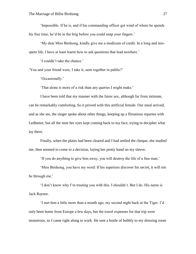'Impossible. If he is, and if his commanding officer got wind of where he spends his free time, he'd be in the brig before you could snap your fingers.'

'My dear Miss Birdsong, kindly give me a modicum of credit. In a long and misspent life, I have at least learnt how to ask questions that lead nowhere.'

'I couldn't take the chance.'

'You and your friend were, I take it, seen together in public?'

'Occasionally.'

'That alone is more of a risk than any queries I might make.'

I have been told that my manner with the fairer sex, although far from intimate, can be remarkably comforting. So it proved with this artificial female. Our meal arrived, and as she ate, the singer spoke about other things, keeping up a flirtatious repartee with Ledbetter, but all the time her eyes kept coming back to my face, trying to decipher what lay there.

Finally, when the plates had been cleared and I had settled the cheque, she studied me, then seemed to come to a decision, laying her pretty hand on my sleeve.

'If you do anything to give him away, you will destroy the life of a fine man.'

'Miss Birdsong, you have my word: If his superiors discover his secret, it will not be through me.'

'I don't know why I'm trusting you with this. I shouldn't. But I do. His name is Jack Raynor.

'I met him a little more than a month ago, my second night back at the Tiger. I'd only been home from Europe a few days, but the travel expenses for that trip were monstrous, so I came right along to work. He sent a bottle of bubbly to my dressing room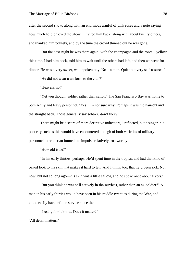after the second show, along with an enormous armful of pink roses and a note saying how much he'd enjoyed the show. I invited him back, along with about twenty others, and thanked him politely, and by the time the crowd thinned out he was gone.

'But the next night he was there again, with the champagne and the roses—yellow this time. I had him back, told him to wait until the others had left, and then we went for dinner. He was a very sweet, well-spoken boy. No—a man. Quiet but very self-assured.'

'He did not wear a uniform to the club?'

'Heavens no!'

'Yet you thought soldier rather than sailor.' The San Francisco Bay was home to both Army and Navy personnel. 'Yes. I'm not sure why. Perhaps it was the hair-cut and the straight back. Those generally say soldier, don't they?'

There might be a score of more definitive indicators, I reflected, but a singer in a port city such as this would have encountered enough of both varieties of military personnel to render an immediate impulse relatively trustworthy.

'How old is he?'

'In his early thirties, perhaps. He'd spent time in the tropics, and had that kind of baked look to his skin that makes it hard to tell. And I think, too, that he'd been sick. Not now, but not so long ago—his skin was a little sallow, and he spoke once about fevers.'

'But you think he was still actively in the services, rather than an ex-soldier?' A man in his early thirties would have been in his middle twenties during the War, and could easily have left the service since then.

'I really don't know. Does it matter?'

'All detail matters.'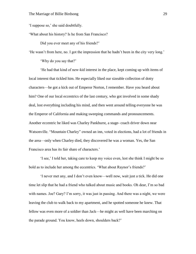'I suppose so,' she said doubtfully.

'What about his history? Is he from San Francisco?

Did you ever meet any of his friends?'

'He wasn't from here, no. I got the impression that he hadn't been in the city very long.'

'Why do you say that?'

'He had that kind of new-kid interest in the place, kept coming up with items of local interest that tickled him. He especially liked our sizeable collection of dotty characters—he got a kick out of Emperor Norton, I remember. Have you heard about him? One of our local eccentrics of the last century, who got involved in some shady deal, lost everything including his mind, and then went around telling everyone he was the Emperor of California and making sweeping commands and pronouncements. Another eccentric he liked was Charley Pankhurst, a stage- coach driver down near Watsonville. "Mountain Charley" owned an inn, voted in elections, had a lot of friends in the area—only when Charley died, they discovered he was a woman. Yes, the San Francisco area has its fair share of characters.'

'I see,' I told her, taking care to keep my voice even, lest she think I might be so bold as to include her among the eccentrics. 'What about Raynor's friends?'

'I never met any, and I don't even know—well now, wait just a tick. He did one time let slip that he had a friend who talked about music and books. Oh dear, I'm so bad with names. Joe? Gary? I'm sorry, it was just in passing. And there was a night, we were leaving the club to walk back to my apartment, and he spotted someone he knew. That fellow was even more of a soldier than Jack—he might as well have been marching on the parade ground. You know, heels down, shoulders back?'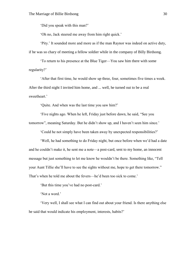'Did you speak with this man?'

'Oh no, Jack steered me away from him right quick.'

'Pity.' It sounded more and more as if the man Raynor was indeed on active duty, if he was so chary of meeting a fellow soldier while in the company of Billy Birdsong.

'To return to his presence at the Blue Tiger—You saw him there with some regularity?'

'After that first time, he would show up three, four, sometimes five times a week. After the third night I invited him home, and ... well, he turned out to be a real sweetheart.'

'Quite. And when was the last time you saw him?'

'Five nights ago. When he left, Friday just before dawn, he said, "See you tomorrow", meaning Saturday. But he didn't show up, and I haven't seen him since.'

'Could he not simply have been taken away by unexpected responsibilities?'

'Well, he had something to do Friday night, but once before when we'd had a date and he couldn't make it, he sent me a note—a post-card, sent to my home, an innocent message but just something to let me know he wouldn't be there. Something like, "Tell your Aunt Tillie she'll have to see the sights without me, hope to get there tomorrow." That's when he told me about the fevers—he'd been too sick to come.'

'But this time you've had no post-card.'

'Not a word.'

'Very well, I shall see what I can find out about your friend. Is there anything else he said that would indicate his employment, interests, habits?'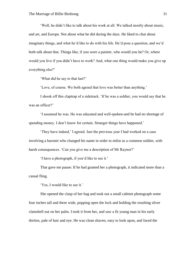'Well, he didn't like to talk about his work at all. We talked mostly about music, and art, and Europe. Not about what he did during the days. He liked to chat about imaginary things, and what he'd like to do with his life. He'd pose a question, and we'd both talk about that. Things like, if you were a painter, who would you be? Or, where would you live if you didn't have to work? And, what one thing would make you give up everything else?'

'What did he say to that last?'

'Love, of course. We both agreed that love was better than anything.'

I shook off this claptrap of a sidetrack. 'If he was a soldier, you would say that he was an officer?'

'I assumed he was. He was educated and well-spoken-and he had no shortage of spending money. I don't know for certain. Stranger things have happened.'

'They have indeed,' I agreed. Just the previous year I had worked on a case involving a baronet who changed his name in order to enlist as a common soldier, with harsh consequences. 'Can you give me a description of Mr Raynor?'

'I have a photograph, if you'd like to see it.'

That gave me pause: If he had granted her a photograph, it indicated more than a casual fling.

'Yes, I would like to see it.'

She opened the clasp of her bag and took out a small cabinet photograph some four inches tall and three wide, popping open the lock and holding the resulting silver clamshell out on her palm. I took it from her, and saw a fit young man in his early thirties, pale of hair and eye. He was clean shaven, easy to look upon, and faced the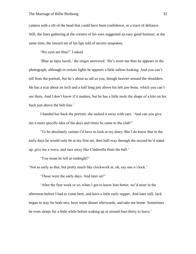camera with a tilt of the head that could have been confidence, or a trace of defiance. Still, the lines gathering at the corners of his eyes suggested an easy good humour; at the same time, the inward set of his lips told of secrets unspoken.

'His eyes are blue?' I asked.

'Blue as lapis lazuli,' the singer answered. 'He's more tan than he appears in the photograph, although in certain lights he appears a little sallow-looking. And you can't tell from the portrait, but he's about as tall as you, though heavier around the shoulders. He has a scar about an inch and a half long just above his left jaw-bone, which you can't see there. And I don't know if it matters, but he has a little mole the shape of a kite on his back just above the belt-line.'

I handed her back the portrait; she tucked it away with care. 'And can you give me a more specific idea of the days and times he came to the club?'

'To be absolutely certain I'd have to look at my diary. But I do know that in the early days he would only be at my first set, then half-way through the second he'd stand up, give me a wave, and race away like Cinderella from the ball.'

'You mean he left at midnight?'

'Not as early as that, but pretty much like clockwork at, oh, say one o'clock.'

'Those were the early days. And later on?'

'After the first week or so, when I got to know him better, we'd meet in the afternoon before I had to come here, and have a little early supper. And later still, Jack began to stay for both sets, have some dinner afterwards, and take me home. Sometimes he even sleeps for a little while before waking up at around four-thirty to leave.'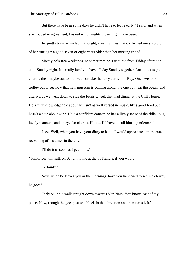'But there have been some days he didn't have to leave early,' I said, and when she nodded in agreement, I asked which nights those might have been.

Her pretty brow wrinkled in thought, creating lines that confirmed my suspicion of her true age: a good seven or eight years older than her missing friend.

'Mostly he's free weekends, so sometimes he's with me from Friday afternoon until Sunday night. It's really lovely to have all day Sunday together. Jack likes to go to church, then maybe out to the beach or take the ferry across the Bay. Once we took the trolley out to see how that new museum is coming along, the one out near the ocean, and afterwards we went down to ride the Ferris wheel, then had dinner at the Cliff House. He's very knowledgeable about art, isn't as well versed in music, likes good food but hasn't a clue about wine. He's a confident dancer, he has a lively sense of the ridiculous, lovely manners, and an eye for clothes. He's ... I'd have to call him a gentleman.'

'I see. Well, when you have your diary to hand, I would appreciate a more exact reckoning of his times in the city.'

'I'll do it as soon as I get home.'

'Tomorrow will suffice. Send it to me at the St Francis, if you would.'

'Certainly.'

'Now, when he leaves you in the mornings, have you happened to see which way he goes?'

'Early on, he'd walk straight down towards Van Ness. You know, east of my place. Now, though, he goes just one block in that direction and then turns left.'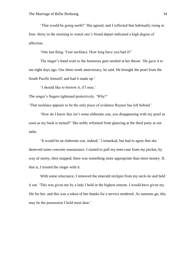'That would be going north?' She agreed, and I reflected that habitually rising at four- thirty in the morning to watch one's friend depart indicated a high degree of affection.

'One last thing. Your necklace. How long have you had it?'

The singer's hand went to the luminous gem nestled at her throat. 'He gave it to me eight days ago. Our three-week anniversary, he said. He brought the pearl from the South Pacific himself, and had it made up.'

'I should like to borrow it, if I may.'

The singer's fingers tightened protectively. 'Why?'

'That necklace appears to be the only piece of evidence Raynor has left behind.'

'How do I know this isn't some elaborate con, you disappearing with my pearl as soon as my back is turned?' She nobly refrained from glancing at the third party at our table.

'It would be an elaborate con, indeed,' I remarked, but had to agree that she deserved some concrete reassurance. I started to pull my note-case from my pocket, by way of surety, then stopped; there was something more appropriate than mere money. If, that is, I trusted the singer with it.

With some reluctance, I removed the emerald stickpin from my neck-tie and held it out. 'This was given me by a lady I held in the highest esteem. I would have given my life for her, and this was a token of her thanks for a service rendered. As ransoms go, this may be the possession I hold most dear.'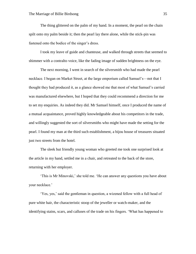The thing glittered on the palm of my hand. In a moment, the pearl on the chain spilt onto my palm beside it; then the pearl lay there alone, while the stick-pin was fastened onto the bodice of the singer's dress.

I took my leave of guide and chanteuse, and walked through streets that seemed to shimmer with a contralto voice, like the fading image of sudden brightness on the eye.

The next morning, I went in search of the silversmith who had made the pearl necklace. I began on Market Street, at the large emporium called Samuel's—not that I thought they had produced it, as a glance showed me that most of what Samuel's carried was manufactured elsewhere, but I hoped that they could recommend a direction for me to set my enquiries. As indeed they did. Mr Samuel himself, once I produced the name of a mutual acquaintance, proved highly knowledgeable about his competitors in the trade, and willingly suggested the sort of silversmiths who might have made the setting for the pearl. I found my man at the third such establishment, a bijou house of treasures situated just two streets from the hotel.

The sleek but friendly young woman who greeted me took one surprised look at the article in my hand, settled me in a chair, and retreated to the back of the store, returning with her employer.

'This is Mr Minovski,' she told me. 'He can answer any questions you have about your necklace.'

'Yes, yes,' said the gentleman in question, a wizened fellow with a full head of pure white hair, the characteristic stoop of the jeweller or watch-maker, and the identifying stains, scars, and calluses of the trade on his fingers. 'What has happened to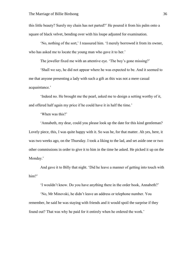this little beauty? Surely my chain has not parted?' He poured it from his palm onto a square of black velvet, bending over with his loupe adjusted for examination.

'No, nothing of the sort,' I reassured him. 'I merely borrowed it from its owner, who has asked me to locate the young man who gave it to her.'

The jeweller fixed me with an attentive eye. 'The boy's gone missing?'

'Shall we say, he did not appear where he was expected to be. And it seemed to me that anyone presenting a lady with such a gift as this was not a mere casual acquaintance.'

'Indeed no. He brought me the pearl, asked me to design a setting worthy of it, and offered half again my price if he could have it in half the time.'

'When was this?'

'Annabeth, my dear, could you please look up the date for this kind gentleman? Lovely piece, this, I was quite happy with it. So was he, for that matter. Ah yes, here, it was two weeks ago, on the Thursday. I took a liking to the lad, and set aside one or two other commissions in order to give it to him in the time he asked. He picked it up on the Monday.'

And gave it to Billy that night. 'Did he leave a manner of getting into touch with him?'

'I wouldn't know. Do you have anything there in the order book, Annabeth?'

'No, Mr Minovski, he didn't leave an address or telephone number. You remember, he said he was staying with friends and it would spoil the surprise if they found out? That was why he paid for it entirely when he ordered the work.'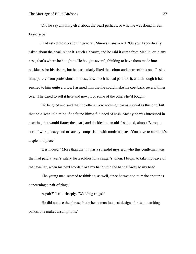'Did he say anything else, about the pearl perhaps, or what he was doing in San Francisco?'

I had asked the question in general; Minovski answered. 'Oh yes. I specifically asked about the pearl, since it's such a beauty, and he said it came from Manila, or in any case, that's where he bought it. He bought several, thinking to have them made into necklaces for his sisters, but he particularly liked the colour and lustre of this one. I asked him, purely from professional interest, how much he had paid for it, and although it had seemed to him quite a price, I assured him that he could make his cost back several times over if he cared to sell it here and now, it or some of the others he'd bought.

'He laughed and said that the others were nothing near as special as this one, but that he'd keep it in mind if he found himself in need of cash. Mostly he was interested in a setting that would flatter the pearl, and decided on an old-fashioned, almost Baroque sort of work, heavy and ornate by comparison with modern tastes. You have to admit, it's a splendid piece.'

'It is indeed.' More than that, it was a splendid mystery, who this gentleman was that had paid a year's salary for a soldier for a singer's token. I began to take my leave of the jeweller, when his next words froze my hand with the hat half-way to my head.

'The young man seemed to think so, as well, since he went on to make enquiries concerning a pair of rings.'

'A pair?' I said sharply. 'Wedding rings?'

'He did not use the phrase, but when a man looks at designs for two matching bands, one makes assumptions.'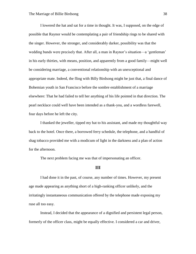I lowered the hat and sat for a time in thought. It was, I supposed, on the edge of possible that Raynor would be contemplating a pair of friendship rings to be shared with the singer. However, the stronger, and considerably darker, possibility was that the wedding bands were precisely that. After all, a man in Raynor's situation—a 'gentleman' in his early thirties, with means, position, and apparently from a good family—might well be considering marriage, a conventional relationship with an unexceptional and appropriate mate. Indeed, the fling with Billy Birdsong might be just that, a final dance of Bohemian youth in San Francisco before the sombre establishment of a marriage elsewhere: That he had failed to tell her anything of his life pointed in that direction. The pearl necklace could well have been intended as a thank-you, and a wordless farewell, four days before he left the city.

I thanked the jeweller, tipped my hat to his assistant, and made my thoughtful way back to the hotel. Once there, a borrowed ferry schedule, the telephone, and a handful of shag tobacco provided me with a modicum of light in the darkness and a plan of action for the afternoon.

The next problem facing me was that of impersonating an officer.

## **III**

I had done it in the past, of course, any number of times. However, my present age made appearing as anything short of a high-ranking officer unlikely, and the irritatingly instantaneous communication offered by the telephone made exposing my ruse all too easy.

Instead, I decided that the appearance of a dignified and persistent legal person, formerly of the officer class, might be equally effective. I considered a car and driver,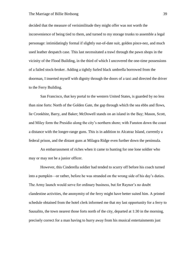### The Marriage of Billie Birdsong 39

decided that the measure of verisimilitude they might offer was not worth the inconvenience of being tied to them, and turned to my storage trunks to assemble a legal personage: intimidatingly formal if slightly out-of-date suit, golden pince-nez, and much used leather despatch case. This last necessitated a trawl through the pawn shops in the vicinity of the Flood Building, in the third of which I uncovered the one-time possessions of a failed stock-broker. Adding a tightly furled black umbrella borrowed from the doorman, I inserted myself with dignity through the doors of a taxi and directed the driver to the Ferry Building.

San Francisco, that key portal to the western United States, is guarded by no less than nine forts: North of the Golden Gate, the gap through which the sea ebbs and flows, lie Cronkhite, Barry, and Baker; McDowell stands on an island in the Bay; Mason, Scott, and Miley form the Presidio along the city's northern shore; with Funston down the coast a distance with the longer-range guns. This is in addition to Alcatraz Island, currently a federal prison, and the distant guns at Milagra Ridge even further down the peninsula.

An embarrassment of riches when it came to hunting for one lone soldier who may or may not be a junior officer.

However, this Cinderella soldier had tended to scurry off before his coach turned into a pumpkin—or rather, before he was stranded on the wrong side of his day's duties. The Army launch would serve for ordinary business, but for Raynor's no doubt clandestine activities, the anonymity of the ferry might have better suited him. A printed schedule obtained from the hotel clerk informed me that my last opportunity for a ferry to Sausalito, the town nearest those forts north of the city, departed at 1:30 in the morning, precisely correct for a man having to hurry away from his musical entertainments just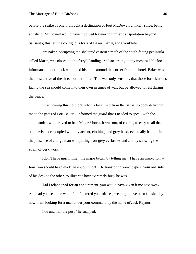before the strike of one. I thought a destination of Fort McDowell unlikely since, being an island, McDowell would have involved Raynor in further transportation beyond Sausalito; this left the contiguous forts of Baker, Barry, and Cronkhite.

Fort Baker, occupying the sheltered eastern stretch of the south-facing peninsula called Marin, was closest to the ferry's landing. And according to my most reliable local informant, a boot-black who plied his trade around the corner from the hotel, Baker was the most active of the three northern forts. This was only sensible, that those fortifications facing the sea should come into their own in times of war, but be allowed to rest during the peace.

It was nearing three o'clock when a taxi hired from the Sausalito dock delivered me to the gates of Fort Baker. I informed the guard that I needed to speak with the commander, who proved to be a Major Morris. It was not, of course, as easy as all that, but persistence, coupled with my accent, clothing, and grey head, eventually had me in the presence of a large man with jutting iron-grey eyebrows and a body showing the strain of desk work.

'I don't have much time,' the major began by telling me. 'I have an inspection at four, you should have made an appointment.' He transferred some papers from one side of his desk to the other, to illustrate how extremely busy he was.

'Had I telephoned for an appointment, you would have given it me next week. And had you seen me when first I entered your offices, we might have been finished by now. I am looking for a man under your command by the name of Jack Raynor.'

'You and half the post,' he snapped.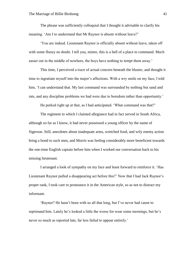The phrase was sufficiently colloquial that I thought it advisable to clarify his meaning. 'Am I to understand that Mr Raynor is absent without leave?'

'You are indeed. Lieutenant Raynor is officially absent without leave, taken off with some floozy no doubt. I tell you, mister, this is a hell of a place to command. Much easier out in the middle of nowhere, the boys have nothing to tempt them away.'

This time, I perceived a trace of actual concern beneath the bluster, and thought it time to ingratiate myself into the major's affections. With a wry smile on my face, I told him, 'I can understand that. My last command was surrounded by nothing but sand and rats, and any discipline problems we had were due to boredom rather than opportunity.'

He perked right up at that, as I had anticipated. 'What command was that?'

The regiment to which I claimed allegiance had in fact served in South Africa, although so far as I know, it had never possessed a young officer by the name of Sigerson. Still, anecdotes about inadequate arms, wretched food, and wily enemy action bring a bond to such men, and Morris was feeling considerably more beneficent towards the one-time English captain before him when I worked our conversation back to his missing lieutenant.

I arranged a look of sympathy on my face and leant forward to reinforce it. 'Has Lieutenant Raynor pulled a disappearing act before this?' Now that I had Jack Raynor's proper rank, I took care to pronounce it in the American style, so as not to distract my informant.

'Raynor? He hasn't been with us all that long, but I've never had cause to reprimand him. Lately he's looked a little the worse for wear some mornings, but he's never so much as reported late, far less failed to appear entirely.'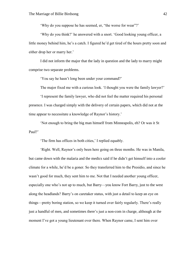'Why do you suppose he has seemed, er, "the worse for wear"?'

'Why do you think?' he answered with a snort. 'Good looking young officer, a little money behind him, he's a catch. I figured he'd get tired of the hours pretty soon and either drop her or marry her.'

I did not inform the major that the lady in question and the lady to marry might comprise two separate problems.

'You say he hasn't long been under your command?'

The major fixed me with a curious look. 'I thought you were the family lawyer?'

'I represent the family lawyer, who did not feel the matter required his personal presence. I was charged simply with the delivery of certain papers, which did not at the time appear to necessitate a knowledge of Raynor's history.'

'Not enough to bring the big man himself from Minneapolis, eh? Or was it St Paul?'

'The firm has offices in both cities,' I replied equably.

'Right. Well, Raynor's only been here going on three months. He was in Manila, but came down with the malaria and the medics said if he didn't get himself into a cooler climate for a while, he'd be a goner. So they transferred him to the Presidio, and since he wasn't good for much, they sent him to me. Not that I needed another young officer, especially one who's not up to much, but Barry—you know Fort Barry, just to the west along the headlands? Barry's on caretaker status, with just a detail to keep an eye on things—pretty boring station, so we keep it turned over fairly regularly. There's really just a handful of men, and sometimes there's just a non-com in charge, although at the moment I've got a young lieutenant over there. When Raynor came, I sent him over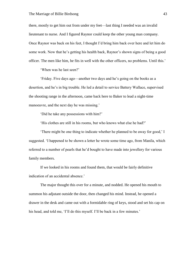there, mostly to get him out from under my feet—last thing I needed was an invalid lieutenant to nurse. And I figured Raynor could keep the other young man company. Once Raynor was back on his feet, I thought I'd bring him back over here and let him do some work. Now that he's getting his health back, Raynor's shown signs of being a good officer. The men like him, he fits in well with the other officers, no problems. Until this.'

'When was he last seen?'

'Friday. Five days ago—another two days and he's going on the books as a desertion, and he's in big trouble. He led a detail to service Battery Wallace, supervised the shooting range in the afternoon, came back here to Baker to lead a night-time manoeuvre, and the next day he was missing.'

'Did he take any possessions with him?'

'His clothes are still in his rooms, but who knows what else he had?'

'There might be one thing to indicate whether he planned to be away for good,' I suggested. 'I happened to be shown a letter he wrote some time ago, from Manila, which referred to a number of pearls that he'd bought to have made into jewellery for various family members.

If we looked in his rooms and found them, that would be fairly definitive indication of an accidental absence.'

The major thought this over for a minute, and nodded. He opened his mouth to summon his adjutant outside the door, then changed his mind. Instead, he opened a drawer in the desk and came out with a formidable ring of keys, stood and set his cap on his head, and told me, 'I'll do this myself. I'll be back in a few minutes.'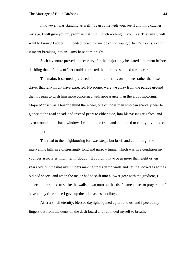I, however, was standing as well. 'I can come with you, see if anything catches my eye. I will give you my promise that I will touch nothing, if you like. The family will want to know,' I added. I intended to see the inside of the young officer's rooms, even if it meant breaking into an Army base at midnight.

Such a venture proved unnecessary, for the major only hesitated a moment before deciding that a fellow officer could be trusted that far, and shouted for his car.

The major, it seemed, preferred to motor under his own power rather than use the driver that rank might have expected. No sooner were we away from the parade ground than I began to wish him more concerned with appearance than the art of motoring. Major Morris was a terror behind the wheel, one of those men who can scarcely bear to glance at the road ahead, and instead peers to either side, into his passenger's face, and even around to the back window. I clung to the front and attempted to empty my mind of all thought.

The road to the neighbouring fort was steep, but brief, and cut through the intervening hills in a distressingly long and narrow tunnel which was in a condition my younger associates might term 'dodgy'. It couldn't have been more than eight or ten years old, but the massive timbers making up its damp walls and ceiling looked as soft as old bed sheets, and when the major had to shift into a lower gear with the gradient, I expected the sound to shake the walls down onto our heads. I came closer to prayer than I have at any time since I gave up the habit as a schoolboy.

After a small eternity, blessed daylight opened up around us, and I peeled my fingers out from the dents on the dash-board and reminded myself to breathe.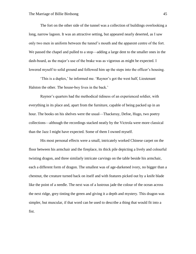The fort on the other side of the tunnel was a collection of buildings overlooking a long, narrow lagoon. It was an attractive setting, but appeared nearly deserted, as I saw only two men in uniform between the tunnel's mouth and the apparent centre of the fort. We passed the chapel and pulled to a stop—adding a large dent to the smaller ones in the dash-board, as the major's use of the brake was as vigorous as might be expected. I lowered myself to solid ground and followed him up the steps into the officer's housing.

'This is a duplex,' he informed me. 'Raynor's got the west half, Lieutenant Halston the other. The house-boy lives in the back.'

Raynor's quarters had the methodical tidiness of an experienced soldier, with everything in its place and, apart from the furniture, capable of being packed up in an hour. The books on his shelves were the usual—Thackeray, Defoe, Hugo, two poetry collections—although the recordings stacked neatly by the Victrola were more classical than the Jazz I might have expected. Some of them I owned myself.

His most personal effects were a small, intricately worked Chinese carpet on the floor between his armchair and the fireplace, its thick pile depicting a lively and colourful twisting dragon, and three similarly intricate carvings on the table beside his armchair, each a different form of dragon. The smallest was of age-darkened ivory, no bigger than a chestnut, the creature turned back on itself and with features picked out by a knife blade like the point of a needle. The next was of a lustrous jade the colour of the ocean across the next ridge, grey tinting the green and giving it a depth and mystery. This dragon was simpler, but muscular, if that word can be used to describe a thing that would fit into a fist.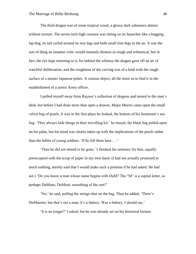The third dragon was of some tropical wood, a glossy dark substance almost without texture. The seven-inch high creature was sitting on its haunches like a begging lap-dog, its tail curled around its rear legs and both small fore-legs in the air. It was the sort of thing an amateur critic would instantly dismiss as rough and whimsical, but in fact, the eye kept returning to it, for behind the whimsy the dragon gave off an air of watchful deliberation, and the roughness of the carving was of a kind with the rough surface of a master Japanese potter. A curious object, all the more so to find it in the establishment of a junior Army officer.

I pulled myself away from Raynor's collection of dragons and turned to the man's desk, but before I had done more than open a drawer, Major Morris came upon the small velvet bag of pearls. It was in the first place he looked, the bottom of his lieutenant's sea bag. 'They always hide things in their travelling kit,' he mused, the black bag pulled open on his palm, but his mind was clearly taken up with the implications of the pearls rather than the habits of young soldiers. 'If he left them here . . .'

'Then he did not intend to be gone,' I finished his sentence for him, equally preoccupied with the scrap of paper in my own hand. (I had not actually promised to touch nothing, merely said that I would make such a promise if he had asked. He had not.) 'Do you know a man whose name begins with DuM? The "M" is a capital letter, so perhaps DuMons, DuMont, something of the sort?'

'No,' he said, pulling the strings shut on the bag. Then he added, 'There's DuMaurier, but that's not a man, it's a battery. Was a battery, I should say.'

'It is no longer?' I asked, but he was already set on his historical lecture.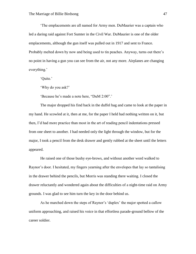'The emplacements are all named for Army men. DuMaurier was a captain who led a daring raid against Fort Sumter in the Civil War. DuMaurier is one of the older emplacements, although the gun itself was pulled out in 1917 and sent to France. Probably melted down by now and being used to tin peaches. Anyway, turns out there's no point in having a gun you can see from the air, not any more. Airplanes are changing everything.'

'Quite.'

'Why do you ask?'

'Because he's made a note here, "DuM 2:00".'

The major dropped his find back in the duffel bag and came to look at the paper in my hand. He scowled at it, then at me, for the paper I held had nothing written on it, but then, I'd had more practice than most in the art of reading pencil indentations pressed from one sheet to another. I had needed only the light through the window, but for the major, I took a pencil from the desk drawer and gently rubbed at the sheet until the letters appeared.

He raised one of those bushy eye-brows, and without another word walked to Raynor's door. I hesitated, my fingers yearning after the envelopes that lay so tantalising in the drawer behind the pencils, but Morris was standing there waiting. I closed the drawer reluctantly and wondered again about the difficulties of a night-time raid on Army grounds. I was glad to see him turn the key in the door behind us.

As he marched down the steps of Raynor's 'duplex' the major spotted a callow uniform approaching, and raised his voice in that effortless parade-ground bellow of the career soldier.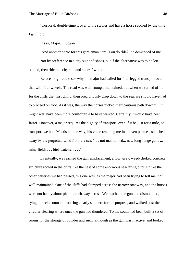'Corporal, double-time it over to the stables and have a horse saddled by the time I get there.'

'I say, Major,' I began.

'And another horse for this gentleman here. You do ride?' he demanded of me. Not by preference in a city suit and shoes, but if the alternative was to be left behind, then ride in a city suit and shoes I would.

Before long I could see why the major had called for four-legged transport over that with four wheels. The road was well enough maintained, but when we turned off it for the cliffs that first climb, then precipitously drop down to the sea, we should have had to proceed on foot. As it was, the way the horses picked their cautious path downhill, it might well have been more comfortable to have walked. Certainly it would have been faster. However, a major requires the dignity of transport, even if it be just for a mile, so transport we had. Morris led the way, his voice reaching me in uneven phrases, snatched away by the perpetual wind from the sea. '... not maintained... new long-range guns ... mine-fields . . . bird-watchers . . .'

Eventually, we reached the gun emplacement, a low, grey, weed-choked concrete structure rooted in the cliffs like the nest of some enormous sea-faring bird. Unlike the other batteries we had passed, this one was, as the major had been trying to tell me, not well maintained. One of the cliffs had slumped across the narrow roadway, and the horses were not happy about picking their way across. We reached the gun and dismounted, tying our reins onto an iron ring clearly set there for the purpose, and walked past the circular clearing where once the gun had thundered. To the south had been built a set of rooms for the storage of powder and such, although as the gun was inactive, and looked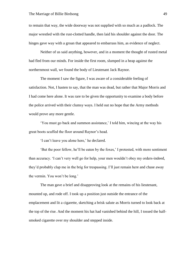### The Marriage of Billie Birdsong 49

to remain that way, the wide doorway was not supplied with so much as a padlock. The major wrestled with the rust-clotted handle, then laid his shoulder against the door. The hinges gave way with a groan that appeared to embarrass him, as evidence of neglect.

Neither of us said anything, however, and in a moment the thought of rusted metal had fled from our minds. For inside the first room, slumped in a heap against the northernmost wall, we found the body of Lieutenant Jack Raynor.

The moment I saw the figure, I was aware of a considerable feeling of satisfaction. Not, I hasten to say, that the man was dead, but rather that Major Morris and I had come here alone. It was rare to be given the opportunity to examine a body before the police arrived with their clumsy ways. I held out no hope that the Army methods would prove any more gentle.

'You must go back and summon assistance,' I told him, wincing at the way his great boots scuffed the floor around Raynor's head.

'I can't leave you alone here,' he declared.

'But the poor fellow, he'll be eaten by the foxes,' I protested, with more sentiment than accuracy. 'I can't very well go for help, your men wouldn't obey my orders-indeed, they'd probably clap me in the brig for trespassing. I'll just remain here and chase away the vermin. You won't be long.'

The man gave a brief and disapproving look at the remains of his lieutenant, mounted up, and rode off. I took up a position just outside the entrance of the emplacement and lit a cigarette, sketching a brisk salute as Morris turned to look back at the top of the rise. And the moment his hat had vanished behind the hill, I tossed the halfsmoked cigarette over my shoulder and stepped inside.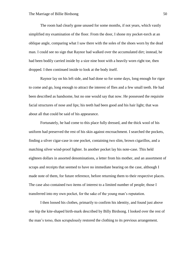The room had clearly gone unused for some months, if not years, which vastly simplified my examination of the floor. From the door, I shone my pocket-torch at an oblique angle, comparing what I saw there with the soles of the shoes worn by the dead man. I could see no sign that Raynor had walked over the accumulated dirt; instead, he had been bodily carried inside by a size nine boot with a heavily worn right toe, then dropped. I then continued inside to look at the body itself.

Raynor lay on his left side, and had done so for some days, long enough for rigor to come and go, long enough to attract the interest of flies and a few small teeth. He had been described as handsome, but no one would say that now. He possessed the requisite facial structures of nose and lips; his teeth had been good and his hair light; that was about all that could be said of his appearance.

Fortunately, he had come to this place fully dressed, and the thick wool of his uniform had preserved the rest of his skin against encroachment. I searched the pockets, finding a silver cigar-case in one pocket, containing two slim, brown cigarillos, and a matching silver wind-proof lighter. In another pocket lay his note-case. This held eighteen dollars in assorted denominations, a letter from his mother, and an assortment of scraps and receipts that seemed to have no immediate bearing on the case, although I made note of them, for future reference, before returning them to their respective places. The case also contained two items of interest to a limited number of people; those I transferred into my own pocket, for the sake of the young man's reputation.

I then loosed his clothes, primarily to confirm his identity, and found just above one hip the kite-shaped birth-mark described by Billy Birdsong. I looked over the rest of the man's torso, then scrupulously restored the clothing to its previous arrangement.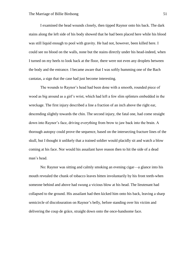I examined the head wounds closely, then tipped Raynor onto his back. The dark stains along the left side of his body showed that he had been placed here while his blood was still liquid enough to pool with gravity. He had not, however, been killed here. I could see no blood on the walls, none but the stains directly under his head-indeed, when I turned on my heels to look back at the floor, there were not even any droplets between the body and the entrance. I became aware that I was softly humming one of the Bach cantatas, a sign that the case had just become interesting.

The wounds to Raynor's head had been done with a smooth, rounded piece of wood as big around as a girl's wrist, which had left a few slim splinters embedded in the wreckage. The first injury described a line a fraction of an inch above the right ear, descending slightly towards the chin. The second injury, the fatal one, had come straight down into Raynor's face, driving everything from brow to jaw back into the brain. A thorough autopsy could prove the sequence, based on the intersecting fracture lines of the skull, but I thought it unlikely that a trained soldier would placidly sit and watch a blow coming at his face. Nor would his assailant have reason then to hit the side of a dead man's head.

No: Raynor was sitting and calmly smoking an evening cigar—a glance into his mouth revealed the chunk of tobacco leaves bitten involuntarily by his front teeth-when someone behind and above had swung a vicious blow at his head. The lieutenant had collapsed to the ground. His assailant had then kicked him onto his back, leaving a sharp semicircle of discolouration on Raynor's belly, before standing over his victim and delivering the coup de grâce, straight down onto the once-handsome face.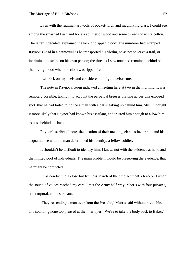Even with the rudimentary tools of pocket-torch and magnifying glass, I could see among the smashed flesh and bone a splinter of wood and some threads of white cotton. The latter, I decided, explained the lack of dripped blood: The murderer had wrapped Raynor's head in a bathtowel as he transported his victim, so as not to leave a trail, or incriminating stains on his own person; the threads I saw now had remained behind on the drying blood when the cloth was ripped free.

I sat back on my heels and considered the figure before me.

The note in Raynor's room indicated a meeting here at two in the morning. It was remotely possible, taking into account the perpetual breezes playing across this exposed spot, that he had failed to notice a man with a bat sneaking up behind him. Still, I thought it more likely that Raynor had known his assailant, and trusted him enough to allow him to pass behind his back.

Raynor's scribbled note, the location of their meeting, clandestine or not, and his acquaintance with the man determined his identity: a fellow soldier.

It shouldn't be difficult to identify him, I knew, not with the evidence at hand and the limited pool of individuals. The main problem would be preserving the evidence, that he might be convicted.

I was conducting a close but fruitless search of the emplacement's forecourt when the sound of voices reached my ears. I met the Army half-way, Morris with four privates, one corporal, and a sergeant.

'They're sending a man over from the Presidio,' Morris said without preamble, and sounding none too pleased at the interloper. 'We're to take the body back to Baker.'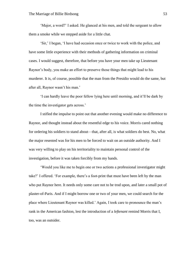'Major, a word?' I asked. He glanced at his men, and told the sergeant to allow them a smoke while we stepped aside for a little chat.

'Sir,' I began, 'I have had occasion once or twice to work with the police, and have some little experience with their methods of gathering information on criminal cases. I would suggest, therefore, that before you have your men take up Lieutenant Raynor's body, you make an effort to preserve those things that might lead to his murderer. It is, of course, possible that the man from the Presidio would do the same, but after all, Raynor wasn't his man.'

'I can hardly leave the poor fellow lying here until morning, and it'll be dark by the time the investigator gets across.'

I stifled the impulse to point out that another evening would make no difference to Raynor, and thought instead about the resentful edge to his voice. Morris cared nothing for ordering his soldiers to stand about—that, after all, is what soldiers do best. No, what the major resented was for his men to be forced to wait on an outside authority. And I was very willing to play on his territoriality to maintain personal control of the investigation, before it was taken forcibly from my hands.

'Would you like me to begin one or two actions a professional investigator might take?' I offered. 'For example, there's a foot-print that must have been left by the man who put Raynor here. It needs only some care not to be trod upon, and later a small pot of plaster-of-Paris. And if I might borrow one or two of your men, we could search for the place where Lieutenant Raynor was killed.' Again, I took care to pronounce the man's rank in the American fashion, lest the introduction of a *leftenant* remind Morris that I, too, was an outsider.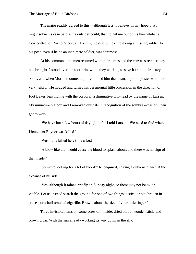The major readily agreed to this—although less, I believe, in any hope that I might solve his case before the outsider could, than to get me out of his hair while he took control of Raynor's corpse. To him, the discipline of restoring a missing soldier to his post, even if he be an inanimate soldier, was foremost.

At his command, the men resumed with their lamps and the canvas stretcher they had brought. I stood over the foot-print while they worked, to save it from their heavy boots, and when Morris mounted up, I reminded him that a small pot of plaster would be very helpful. He nodded and turned his ceremonial little procession in the direction of Fort Baker, leaving me with the corporal, a diminutive tow-head by the name of Larsen. My miniature platoon and I removed our hats in recognition of the sombre occasion, then got to work.

'We have but a few hours of daylight left,' I told Larsen. 'We need to find where Lieutenant Raynor was killed.'

'Wasn't he killed here?' he asked.

'A blow like that would cause the blood to splash about, and there was no sign of that inside.'

'So we're looking for a lot of blood?' he enquired, casting a dubious glance at the expanse of hillside.

'Yes, although it rained briefly on Sunday night, so there may not be much visible. Let us instead search the ground for one of two things: a stick or bat, broken in pieces, or a half-smoked cigarillo. Brown, about the size of your little finger.'

Three invisible items on some acres of hillside: dried blood, wooden stick, and brown cigar. With the sun already working its way down in the sky.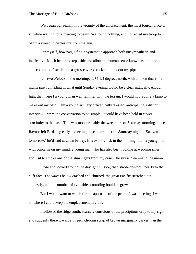We began our search in the vicinity of the emplacement, the most logical place to sit while waiting for a meeting to begin. We found nothing, and I directed my troop to begin a sweep in circles out from the gun.

For myself, however, I find a systematic approach both unsympathetic and ineffective. Much better to step aside and allow the human sense known as intuition to take command. I settled on a grass-covered rock and took out my pipe.

It is two o'clock in the morning, at 37 1/2 degrees north, with a moon that is five nights past full riding in what until Sunday evening would be a clear night sky: enough light that, were I a young man well familiar with the terrain, I would not require a lamp to make out my path. I am a young artillery officer, fully dressed, anticipating a difficult interview—were the conversation to be simple, it could have been held in closer proximity to the base. This was most probably the wee hours of Saturday morning, since Raynor left Birdsong early, expecting to see the singer on Saturday night—'See you tomorrow,' he'd said at dawn Friday. It is two o'clock in the morning, I am a young man with concerns on my mind, a young man who has also been looking at wedding rings, and I sit to smoke one of the slim cigars from my case. The sky is clear—and the moon...

I rose and looked around the daylight hillside, then strode downhill nearly to the cliff face. The waves below crashed and churned, the great Pacific stretched out endlessly, and the number of available protruding boulders grew.

But I would want to watch for the approach of the person I was meeting. I would sit where I could keep the emplacement in view.

I followed the ridge south, scarcely conscious of the precipitous drop to my right, and suddenly there it was, a three-inch-long scrap of brown marginally darker than the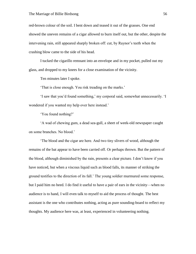red-brown colour of the soil. I bent down and teased it out of the grasses. One end showed the uneven remains of a cigar allowed to burn itself out, but the other, despite the intervening rain, still appeared sharply broken off: cut, by Raynor's teeth when the crashing blow came to the side of his head.

I tucked the cigarillo remnant into an envelope and in my pocket, pulled out my glass, and dropped to my knees for a close examination of the vicinity.

Ten minutes later I spoke.

'That is close enough. You risk treading on the marks.'

'I saw that you'd found something,' my corporal said, somewhat unnecessarily. 'I wondered if you wanted my help over here instead.'

'You found nothing?'

'A wad of chewing gum, a dead sea-gull, a sheet of week-old newspaper caught on some branches. No blood.'

'The blood and the cigar are here. And two tiny slivers of wood, although the remains of the bat appear to have been carried off. Or perhaps thrown. But the pattern of the blood, although diminished by the rain, presents a clear picture. I don't know if you have noticed, but when a viscous liquid such as blood falls, its manner of striking the ground testifies to the direction of its fall.' The young soldier murmured some response, but I paid him no heed. I do find it useful to have a pair of ears in the vicinity—when no audience is to hand, I will even talk to myself to aid the process of thought. The best assistant is the one who contributes nothing, acting as pure sounding-board to reflect my thoughts. My audience here was, at least, experienced in volunteering nothing.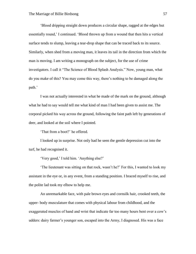'Blood dripping straight down produces a circular shape, ragged at the edges but essentially round,' I continued. 'Blood thrown up from a wound that then hits a vertical surface tends to slump, leaving a tear-drop shape that can be traced back to its source. Similarly, when shed from a moving man, it leaves its tail in the direction from which the man is moving. I am writing a monograph on the subject, for the use of crime investigators. I call it "The Science of Blood Splash Analysis." Now, young man, what do you make of this? You may come this way, there's nothing to be damaged along the path.'

I was not actually interested in what he made of the mark on the ground, although what he had to say would tell me what kind of man I had been given to assist me. The corporal picked his way across the ground, following the faint path left by generations of deer, and looked at the soil where I pointed.

'That from a boot?' he offered.

I looked up in surprise. Not only had he seen the gentle depression cut into the turf, he had recognised it.

'Very good,' I told him. 'Anything else?'

'The lieutenant was sitting on that rock, wasn't he?' For this, I wanted to look my assistant in the eye or, in any event, from a standing position. I braced myself to rise, and the polite lad took my elbow to help me.

An unremarkable face, with pale brown eyes and cornsilk hair, crooked teeth, the upper- body musculature that comes with physical labour from childhood, and the exaggerated muscles of hand and wrist that indicate far too many hours bent over a cow's udders: dairy farmer's younger son, escaped into the Army, I diagnosed. His was a face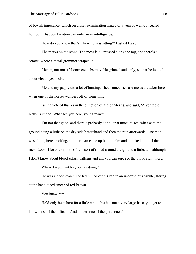of boyish innocence, which on closer examination hinted of a vein of well-concealed humour. That combination can only mean intelligence.

'How do you know that's where he was sitting?' I asked Larsen.

'The marks on the stone. The moss is all mussed along the top, and there's a scratch where a metal grommet scraped it.'

'Lichen, not moss,' I corrected absently. He grinned suddenly, so that he looked about eleven years old.

'Me and my pappy did a lot of hunting. They sometimes use me as a tracker here, when one of the horses wanders off or something.'

I sent a vote of thanks in the direction of Major Morris, and said, 'A veritable Natty Bumppo. What see you here, young man?'

'I'm not that good, and there's probably not all that much to see, what with the ground being a little on the dry side beforehand and then the rain afterwards. One man was sitting here smoking, another man came up behind him and knocked him off the rock. Looks like one or both of 'em sort of rolled around the ground a little, and although I don't know about blood splash patterns and all, you can sure see the blood right there.'

'Where Lieutenant Raynor lay dying.'

'He was a good man.' The lad pulled off his cap in an unconscious tribute, staring at the hand-sized smear of red-brown.

'You knew him.'

'He'd only been here for a little while, but it's not a very large base, you get to know most of the officers. And he was one of the good ones.'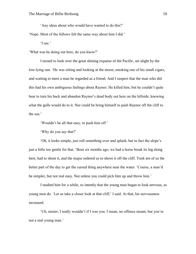'Any ideas about who would have wanted to do this?'

'Nope. Most of the fellows felt the same way about him I did.'

'I see.'

'What was he doing out here, do you know?'

I turned to look over the great shining expanse of the Pacific, set alight by the low-lying sun. 'He was sitting and looking at the moon, smoking one of his small cigars, and waiting to meet a man he regarded as a friend. And I suspect that the man who did this had his own ambiguous feelings about Raynor. He killed him, but he couldn't quite bear to turn his back and abandon Raynor's dead body out here on the hillside, knowing what the gulls would do to it. Nor could he bring himself to push Raynor off the cliff to the sea.'

'Wouldn't be all that easy, to push him off.'

'Why do you say that?'

'Oh, it looks simple, just roll something over and splash, but in fact the slope's just a little too gentle for that. 'Bout six months ago, we had a horse break its leg along here, had to shoot it, and the major ordered us to shove it off the cliff. Took ten of us the better part of the day to get the cursed thing anywhere near the water. 'Course, a man'd be simpler, but not real easy. Not unless you could pick him up and throw him.'

I studied him for a while, so intently that the young man began to look nervous, as young men do. 'Let us take a closer look at that cliff,' I said. At that, his nervousness increased.

'Uh, mister, I really wouldn't if I was you. I mean, no offence meant, but you're not a real young man.'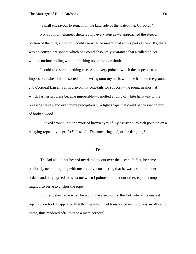'I shall endeavour to remain on the land side of the water-line, Corporal.'

My youthful helpmeet sheltered my every step as we approached the steeper portion of the cliff, although I could see what he meant, that at this part of the cliffs, there was no convenient spot at which one could absolutely guarantee that a rolled object would continue rolling without fetching up on rock or shrub.

I could also see something else. At the very point at which the slope became impossible, when I had resorted to hunkering onto my heels with one hand on the ground and Corporal Larsen's firm grip on my coat-tails for support—the point, in short, at which farther progress became impossible—I spotted a lump of white half-way to the breaking waves, and even more precipitously, a light shape that could be the raw colour of broken wood.

I looked around into the worried brown eyes of my assistant. 'Which position on a belaying rope do you prefer?' I asked. 'The anchoring end, or the dangling?'

# **IV**

The lad would not hear of my dangling out over the ocean. In fact, he came perilously near to arguing with me entirely, considering that he was a soldier under orders, and only agreed to assist me when I pointed out that our other, equine companion might also serve to anchor the rope.

Further delay came when he would have set out for the fort, where the nearest rope lay, on foot. It appeared that the nag which had transported me here was an officer's horse, thus rendered off-limits to a mere corporal.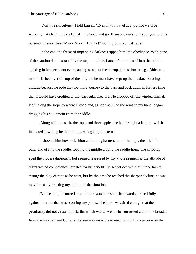'Don't be ridiculous,' I told Larsen. 'Even if you travel at a jog-trot we'll be working that cliff in the dark. Take the horse and go. If anyone questions you, you're on a personal mission from Major Morris. But, lad? Don't give anyone details.'

In the end, the threat of impending darkness tipped him into obedience. With none of the caution demonstrated by the major and me, Larsen flung himself into the saddle and dug in his heels, not even pausing to adjust the stirrups to his shorter legs. Rider and mount flashed over the top of the hill, and he must have kept up the breakneck racing attitude because he rode the two- mile journey to the barn and back again in far less time than I would have credited to that particular creature. He dropped off the winded animal, led it along the slope to where I stood and, as soon as I had the reins in my hand, began dragging his equipment from the saddle.

Along with the sack, the rope, and three apples, he had brought a lantern, which indicated how long he thought this was going to take us.

I showed him how to fashion a climbing harness out of the rope, then tied the other end of it to the saddle, looping the middle around the saddle-horn. The corporal eyed the process dubiously, but seemed reassured by my knots as much as the attitude of disinterested competence I created for his benefit. He set off down the hill uncertainly, testing the play of rope as he went, but by the time he reached the sharper decline, he was moving easily, trusting my control of the situation.

Before long, he turned around to traverse the slope backwards, braced fully against the rope that was scouring my palms. The horse was tired enough that the peculiarity did not cause it to startle, which was as well. The sun rested a thumb's breadth from the horizon, and Corporal Larsen was invisible to me, nothing but a tension on the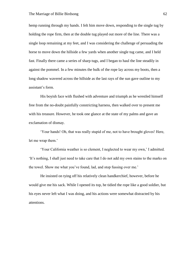hemp running through my hands. I felt him move down, responding to the single tug by holding the rope firm, then at the double tug played out more of the line. There was a single loop remaining at my feet, and I was considering the challenge of persuading the horse to move down the hillside a few yards when another single tug came, and I held fast. Finally there came a series of sharp tugs, and I began to haul the line steadily in against the pommel. In a few minutes the bulk of the rope lay across my boots, then a long shadow wavered across the hillside as the last rays of the sun gave outline to my assistant's form.

His boyish face with flushed with adventure and triumph as he wrestled himself free from the no-doubt painfully constricting harness, then walked over to present me with his treasure. However, he took one glance at the state of my palms and gave an exclamation of dismay.

'Your hands! Oh, that was really stupid of me, not to have brought gloves! Here, let me wrap them.'

'Your California weather is so clement, I neglected to wear my own,' I admitted. 'It's nothing, I shall just need to take care that I do not add my own stains to the marks on the towel. Show me what you've found, lad, and stop fussing over me.'

He insisted on tying off his relatively clean handkerchief, however, before he would give me his sack. While I opened its top, he tidied the rope like a good soldier, but his eyes never left what I was doing, and his actions were somewhat distracted by his attentions.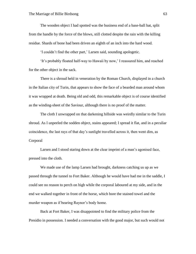The wooden object I had spotted was the business end of a base-ball bat, split from the handle by the force of the blows, still clotted despite the rain with the killing residue. Shards of bone had been driven an eighth of an inch into the hard wood.

'I couldn't find the other part,' Larsen said, sounding apologetic.

'It's probably floated half-way to Hawaii by now,' I reassured him, and reached for the other object in the sack.

There is a shroud held in veneration by the Roman Church, displayed in a church in the Italian city of Turin, that appears to show the face of a bearded man around whom it was wrapped at death. Being old and odd, this remarkable object is of course identified as the winding-sheet of the Saviour, although there is no proof of the matter.

The cloth I unwrapped on that darkening hillside was weirdly similar to the Turin shroud. As I unpeeled the sodden object, stains appeared; I spread it flat, and in a peculiar coincidence, the last rays of that day's sunlight travelled across it, then went dim, as Corporal

Larsen and I stood staring down at the clear imprint of a man's agonised face, pressed into the cloth.

We made use of the lamp Larsen had brought, darkness catching us up as we passed through the tunnel to Fort Baker. Although he would have had me in the saddle, I could see no reason to perch on high while the corporal laboured at my side, and in the end we walked together in front of the horse, which bore the stained towel and the murder weapon as if bearing Raynor's body home.

Back at Fort Baker, I was disappointed to find the military police from the Presidio in possession. I needed a conversation with the good major, but such would not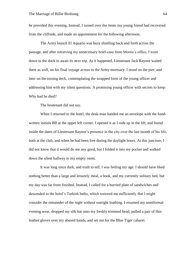be provided this evening. Instead, I turned over the items my young friend had recovered from the cliffside, and made an appointment for the following afternoon.

The Army launch El Aquario was busy shuttling back and forth across the passage, and after retrieving my unnecessary brief-case from Morris's office, I went down to the dock to await its next trip. As it happened, Lieutenant Jack Raynor waited there as well, on his final voyage across to the Army mortuary. I stood on the pier, and later on the tossing deck, contemplating the wrapped form of the young officer and addressing him with my silent questions. A promising young officer with secrets to keep: Why had he died?

The lieutenant did not say.

When I returned to the hotel, the desk-man handed me an envelope with the handwritten initials BB at the upper left corner. I opened it as I rode up in the lift, and found inside the dates of Lieutenant Raynor's presence in the city over the last month of his life, both at the club, and when he had been free during the daylight hours. At this juncture, I did not know that it would do me any good, but I folded it into my pocket and walked down the silent hallway to my empty room.

It was long since dark, and truth to tell, I was feeling my age. I should have liked nothing better than a large and leisurely meal, a book, and my currently solitary bed, but my day was far from finished. Instead, I called for a hurried plate of sandwiches and descended to the hotel's Turkish baths, which restored me sufficiently that I might consider the remainder of the night without outright loathing. I resumed my semiformal evening wear, dropped my silk hat onto my freshly trimmed head, pulled a pair of thin leather gloves over my abused hands, and set out for the Blue Tiger cabaret.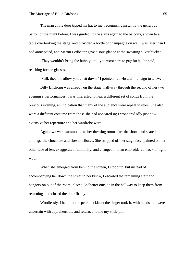The man at the door tipped his hat to me, recognising instantly the generous patron of the night before. I was guided up the stairs again to the balcony, shown to a table overlooking the stage, and provided a bottle of champagne on ice. I was later than I had anticipated, and Martin Ledbetter gave a sour glance at the sweating silver bucket.

'They wouldn't bring the bubbly until you were here to pay for it,' he said, reaching for the glasses.

'Still, they did allow you to sit down,' I pointed out. He did not deign to answer.

Billy Birdsong was already on the stage, half-way through the second of her two evening's performances. I was interested to hear a different set of songs from the previous evening, an indication that many of the audience were repeat visitors. She also wore a different costume from those she had appeared in; I wondered idly just how extensive her repertoire and her wardrobe were.

Again, we were summoned to her dressing room after the show, and seated amongst the chocolate and flower tributes. She stripped off her stage face, painted on her other face of less exaggerated femininity, and changed into an embroidered frock of light wool.

When she emerged from behind the screen, I stood up, but instead of accompanying her down the street to her bistro, I escorted the remaining staff and hangers-on out of the room, placed Ledbetter outside in the hallway to keep them from returning, and closed the door firmly.

Wordlessly, I held out the pearl necklace; the singer took it, with hands that were uncertain with apprehension, and returned to me my stick-pin.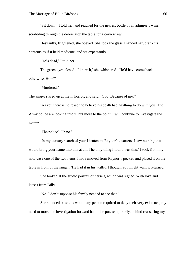'Sit down,' I told her, and reached for the nearest bottle of an admirer's wine, scrabbling through the debris atop the table for a cork-screw.

Hesitantly, frightened, she obeyed. She took the glass I handed her, drank its contents as if it held medicine, and sat expectantly.

'He's dead,' I told her.

The green eyes closed. 'I knew it,' she whispered. 'He'd have come back, otherwise. How?'

'Murdered.'

The singer stared up at me in horror, and said, 'God. Because of me?'

'As yet, there is no reason to believe his death had anything to do with you. The Army police are looking into it, but more to the point, I will continue to investigate the matter.'

'The police? Oh no.'

'In my cursory search of your Lieutenant Raynor's quarters, I saw nothing that would bring your name into this at all. The only thing I found was this.' I took from my note-case one of the two items I had removed from Raynor's pocket, and placed it on the table in front of the singer. 'He had it in his wallet. I thought you might want it returned.'

She looked at the studio portrait of herself, which was signed, With love and kisses from Billy.

'No, I don't suppose his family needed to see that.'

She sounded bitter, as would any person required to deny their very existence; my need to move the investigation forward had to be put, temporarily, behind reassuring my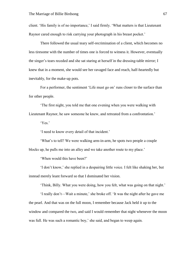client. 'His family is of no importance,' I said firmly. 'What matters is that Lieutenant Raynor cared enough to risk carrying your photograph in his breast pocket.'

There followed the usual teary self-recrimination of a client, which becomes no less tiresome with the number of times one is forced to witness it. However, eventually the singer's tears receded and she sat staring at herself in the dressing-table mirror; I knew that in a moment, she would see her ravaged face and reach, half-heartedly but inevitably, for the make-up pots.

For a performer, the sentiment 'Life must go on' runs closer to the surface than for other people.

'The first night, you told me that one evening when you were walking with Lieutenant Raynor, he saw someone he knew, and retreated from a confrontation.'

'Yes.'

'I need to know every detail of that incident.'

'What's to tell? We were walking arm-in-arm, he spots two people a couple blocks up, he pulls me into an alley and we take another route to my place.'

'When would this have been?'

'I don't know,' she replied in a despairing little voice. I felt like shaking her, but instead merely leant forward so that I dominated her vision.

'Think, Billy. What you were doing, how you felt, what was going on that night.'

'I really don't—Wait a minute,' she broke off. 'It was the night after he gave me the pearl. And that was on the full moon, I remember because Jack held it up to the window and compared the two, and said I would remember that night whenever the moon was full. He was such a romantic boy,' she said, and began to weep again.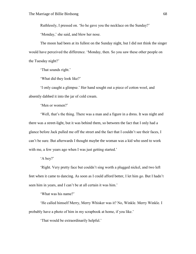Ruthlessly, I pressed on. 'So he gave you the necklace on the Sunday?'

'Monday,' she said, and blew her nose.

The moon had been at its fullest on the Sunday night, but I did not think the singer would have perceived the difference. 'Monday, then. So you saw these other people on the Tuesday night?'

'That sounds right.'

'What did they look like?'

'I only caught a glimpse.' Her hand sought out a piece of cotton wool, and absently dabbed it into the jar of cold cream.

'Men or women?'

'Well, that's the thing. There was a man and a figure in a dress. It was night and there was a street-light, but it was behind them, so between the fact that I only had a glance before Jack pulled me off the street and the fact that I couldn't see their faces, I can't be sure. But afterwards I thought maybe the woman was a kid who used to work with me, a few years ago when I was just getting started.'

'A boy?'

'Right. Very pretty face but couldn't sing worth a plugged nickel, and two left feet when it came to dancing. As soon as I could afford better, I let him go. But I hadn't seen him in years, and I can't be at all certain it was him.'

'What was his name?'

'He called himself Merry, Merry Whisker was it? No, Winkle. Merry Winkle. I probably have a photo of him in my scrapbook at home, if you like.'

'That would be extraordinarily helpful.'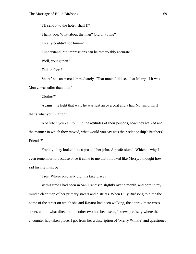'I'll send it to the hotel, shall I?'

'Thank you. What about the man? Old or young?'

'I really couldn't see him—'

'I understand, but impressions can be remarkably accurate.'

'Well, young then.'

'Tall or short?'

'Short,' she answered immediately. 'That much I did see, that Merry, if it was Merry, was taller than him.'

'Clothes?'

'Against the light that way, he was just an overcoat and a hat. No uniform, if that's what you're after.'

'And when you call to mind the attitudes of their persons, how they walked and the manner in which they moved, what would you say was their relationship? Brothers? Friends?'

'Frankly, they looked like a pro and her john. A professional. Which is why I even remember it, because once it came to me that it looked like Merry, I thought how sad his life must be.'

'I see. Where precisely did this take place?'

By this time I had been in San Francisco slightly over a month, and bore in my mind a clear map of her primary streets and districts. When Billy Birdsong told me the name of the street on which she and Raynor had been walking, the approximate crossstreet, and in what direction the other two had been seen, I knew precisely where the encounter had taken place. I got from her a description of 'Merry Winkle' and questioned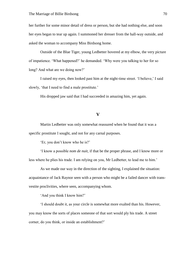her further for some minor detail of dress or person, but she had nothing else, and soon her eyes began to tear up again. I summoned her dresser from the hall-way outside, and asked the woman to accompany Miss Birdsong home.

Outside of the Blue Tiger, young Ledbetter hovered at my elbow, the very picture of impatience. 'What happened?' he demanded. 'Why were you talking to her for so long? And what are we doing now?'

I raised my eyes, then looked past him at the night-time street. 'I believe,' I said slowly, 'that I need to find a male prostitute.'

His dropped jaw said that I had succeeded in amazing him, yet again.

## **V**

Martin Ledbetter was only somewhat reassured when he found that it was a specific prostitute I sought, and not for any carnal purposes.

'Er, you don't know who he is?'

'I know a possible *nom de nuit*, if that be the proper phrase, and I know more or less where he plies his trade. I am relying on you, Mr Ledbetter, to lead me to him.'

As we made our way in the direction of the sighting, I explained the situation: acquaintance of Jack Raynor seen with a person who might be a failed dancer with transvestite proclivities, where seen, accompanying whom.

'And you think I know him?'

'I should doubt it, as your circle is somewhat more exalted than his. However, you may know the sorts of places someone of that sort would ply his trade. A street corner, do you think, or inside an establishment?'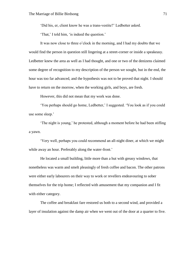'Did his, er, client know he was a trans-vestite?' Ledbetter asked.

'That,' I told him, 'is indeed the question.'

It was now close to three o'clock in the morning, and I had my doubts that we would find the person in question still lingering at a street-corner or inside a speakeasy. Ledbetter knew the area as well as I had thought, and one or two of the denizens claimed some degree of recognition to my description of the person we sought, but in the end, the hour was too far advanced, and the hypothesis was not to be proved that night. I should have to return on the morrow, when the working girls, and boys, are fresh.

However, this did not mean that my work was done.

'You perhaps should go home, Ledbetter,' I suggested. 'You look as if you could use some sleep.'

'The night is young,' he protested, although a moment before he had been stifling a yawn.

'Very well, perhaps you could recommend an all-night diner, at which we might while away an hour. Preferably along the water-front.'

He located a small building, little more than a hut with greasy windows, that nonetheless was warm and smelt pleasingly of fresh coffee and bacon. The other patrons were either early labourers on their way to work or revellers endeavouring to sober themselves for the trip home; I reflected with amusement that my companion and I fit with either category.

The coffee and breakfast fare restored us both to a second wind, and provided a layer of insulation against the damp air when we went out of the door at a quarter to five.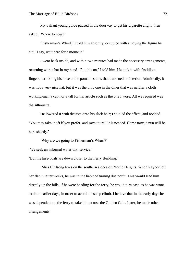My valiant young guide paused in the doorway to get his cigarette alight, then asked, 'Where to now?'

'Fisherman's Wharf,' I told him absently, occupied with studying the figure he cut. 'I say, wait here for a moment.'

I went back inside, and within two minutes had made the necessary arrangements, returning with a hat in my hand. 'Put this on,' I told him. He took it with fastidious fingers, wrinkling his nose at the pomade stains that darkened its interior. Admittedly, it was not a very nice hat, but it was the only one in the diner that was neither a cloth working-man's cap nor a tall formal article such as the one I wore. All we required was the silhouette.

He lowered it with distaste onto his slick hair; I studied the effect, and nodded. 'You may take it off if you prefer, and save it until it is needed. Come now, dawn will be here shortly.'

'Why are we going to Fisherman's Wharf?'

'We seek an informal water-taxi service.'

'But the hire-boats are down closer to the Ferry Building.'

'Miss Birdsong lives on the southern slopes of Pacific Heights. When Raynor left her flat in latter weeks, he was in the habit of turning due north. This would lead him directly up the hills; if he were heading for the ferry, he would turn east, as he was wont to do in earlier days, in order to avoid the steep climb. I believe that in the early days he was dependent on the ferry to take him across the Golden Gate. Later, he made other arrangements.'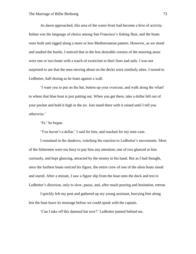As dawn approached, this area of the water-front had become a hive of activity. Italian was the language of choice among San Francisco's fishing fleet, and the boats were built and rigged along a more or less Mediterranean pattern. However, as we stood and studied the bustle, I noticed that in the less desirable corners of the mooring areas were one or two boats with a touch of exoticism to their lines and sails. I was not surprised to see that the men moving about on the decks were similarly alien. I turned to Ledbetter, half dozing as he leant against a wall.

'I want you to put on the hat, button up your overcoat, and walk along the wharf to where that blue boat is just putting out. When you get there, take a dollar bill out of your pocket and hold it high in the air. Just stand there with it raised until I tell you otherwise.'

'Er,' he began.

'You haven't a dollar,' I said for him, and reached for my note-case.

I remained in the shadows, watching the reaction to Ledbetter's movements. Most of the fishermen were too busy to pay him any attention; one of two glanced at him curiously, and kept glancing, attracted by the money in his hand. But as I had thought, once the furthest boats noticed his figure, the entire crew of one of the alien boats stood and stared. After a minute, I saw a figure slip from the boat onto the dock and trot in Ledbetter's direction, only to slow, pause, and, after much peering and hesitation, retreat.

I quickly left my post and gathered up my young assistant, hurrying him along lest the boat leave its moorage before we could speak with the captain.

'Can I take off this damned hat now?' Ledbetter panted behind me.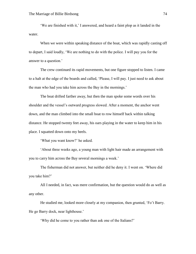'We are finished with it,' I answered, and heard a faint plop as it landed in the water.

When we were within speaking distance of the boat, which was rapidly casting off to depart, I said loudly, 'We are nothing to do with the police. I will pay you for the answer to a question.'

The crew continued its rapid movements, but one figure stopped to listen. I came to a halt at the edge of the boards and called, 'Please, I will pay. I just need to ask about the man who had you take him across the Bay in the mornings.'

The boat drifted farther away, but then the man spoke some words over his shoulder and the vessel's outward progress slowed. After a moment, the anchor went down, and the man climbed into the small boat to row himself back within talking distance. He stopped twenty feet away, his oars playing in the water to keep him in his place. I squatted down onto my heels.

'What you want know?' he asked.

'About three weeks ago, a young man with light hair made an arrangement with you to carry him across the Bay several mornings a week.'

The fisherman did not answer, but neither did he deny it. I went on. 'Where did you take him?'

All I needed, in fact, was mere confirmation, but the question would do as well as any other.

He studied me, looked more closely at my companion, then grunted, 'Fo't Barry. He go Barry dock, near lighthouse.'

'Why did he come to you rather than ask one of the Italians?'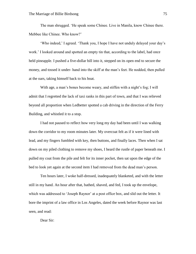The man shrugged. 'He speak some Chinee. Live in Manila, know Chinee there. Mebbee like Chinee. Who know?'

'Who indeed,' I agreed. 'Thank you, I hope I have not unduly delayed your day's work.' I looked around and spotted an empty tin that, according to the label, had once held pineapple. I pushed a five-dollar bill into it, stepped on its open end to secure the money, and tossed it under- hand into the skiff at the man's feet. He nodded, then pulled at the oars, taking himself back to his boat.

With age, a man's bones become weary, and stiffen with a night's fog; I will admit that I regretted the lack of taxi ranks in this part of town, and that I was relieved beyond all proportion when Ledbetter spotted a cab driving in the direction of the Ferry Building, and whistled it to a stop.

I had not paused to reflect how very long my day had been until I was walking down the corridor to my room minutes later. My overcoat felt as if it were lined with lead, and my fingers fumbled with key, then buttons, and finally laces. Then when I sat down on my piled clothing to remove my shoes, I heard the rustle of paper beneath me. I pulled my coat from the pile and felt for its inner pocket, then sat upon the edge of the bed to look yet again at the second item I had removed from the dead man's person.

Ten hours later, I woke half-dressed, inadequately blanketed, and with the letter still in my hand. An hour after that, bathed, shaved, and fed, I took up the envelope, which was addressed to 'Joseph Raynor' at a post office box, and slid out the letter. It bore the imprint of a law office in Los Angeles, dated the week before Raynor was last seen, and read:

Dear Sir: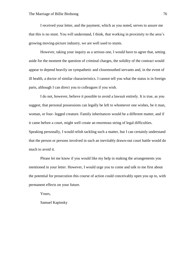I received your letter, and the payment, which as you noted, serves to assure me that this is no stunt. You will understand, I think, that working in proximity to the area's growing moving-picture industry, we are well used to stunts.

However, taking your inquiry as a serious one, I would have to agree that, setting aside for the moment the question of criminal charges, the solidity of the contract would appear to depend heavily on sympathetic and closemouthed servants and, in the event of ill health, a doctor of similar characteristics. I cannot tell you what the status is in foreign parts, although I can direct you to colleagues if you wish.

I do not, however, believe it possible to avoid a lawsuit entirely. It is true, as you suggest, that personal possessions can legally be left to whomever one wishes, be it man, woman, or four- legged creature. Family inheritances would be a different matter, and if it came before a court, might well create an enormous string of legal difficulties. Speaking personally, I would relish tackling such a matter, but I can certainly understand that the person or persons involved in such an inevitably drawn-out court battle would do much to avoid it.

Please let me know if you would like my help in making the arrangements you mentioned in your letter. However, I would urge you to come and talk to me first about the potential for prosecution this course of action could conceivably open you up to, with permanent effects on your future.

Yours,

Samuel Kapinsky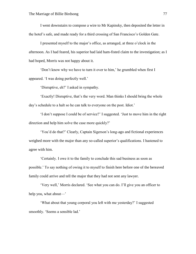I went downstairs to compose a wire to Mr Kapinsky, then deposited the letter in the hotel's safe, and made ready for a third crossing of San Francisco's Golden Gate.

I presented myself to the major's office, as arranged, at three o'clock in the afternoon. As I had feared, his superior had laid ham-fisted claim to the investigation; as I had hoped, Morris was not happy about it.

'Don't know why we have to turn it over to him,' he grumbled when first I appeared. 'I was doing perfectly well.'

'Disruptive, eh?' I asked in sympathy.

'Exactly! Disruptive, that's the very word. Man thinks I should bring the whole day's schedule to a halt so he can talk to everyone on the post. Idiot.'

'I don't suppose I could be of service?' I suggested. 'Just to move him in the right direction and help him solve the case more quickly?'

'You'd do that?' Clearly, Captain Sigerson's long-ago and fictional experiences weighed more with the major than any so-called superior's qualifications. I hastened to agree with him.

'Certainly. I owe it to the family to conclude this sad business as soon as possible.' To say nothing of owing it to myself to finish here before one of the bereaved family could arrive and tell the major that they had not sent any lawyer.

'Very well,' Morris declared. 'See what you can do. I'll give you an officer to help you, what about—'

'What about that young corporal you left with me yesterday?' I suggested smoothly. 'Seems a sensible lad.'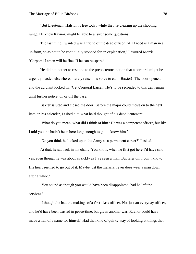'But Lieutenant Halston is free today while they're clearing up the shooting range. He knew Raynor, might be able to answer some questions.'

The last thing I wanted was a friend of the dead officer. 'All I need is a man in a uniform, so as not to be continually stopped for an explanation,' I assured Morris. 'Corporal Larsen will be fine. If he can be spared.'

He did not bother to respond to the preposterous notion that a corporal might be urgently needed elsewhere, merely raised his voice to call, 'Baxter!' The door opened and the adjutant looked in. 'Get Corporal Larsen. He's to be seconded to this gentleman until further notice, on or off the base.'

Baxter saluted and closed the door. Before the major could move on to the next item on his calendar, I asked him what he'd thought of his dead lieutenant.

'What do you mean, what did I think of him? He was a competent officer, but like I told you, he hadn't been here long enough to get to know him.'

'Do you think he looked upon the Army as a permanent career?' I asked.

At that, he sat back in his chair. 'You know, when he first got here I'd have said yes, even though he was about as sickly as I've seen a man. But later on, I don't know. His heart seemed to go out of it. Maybe just the malaria; fever does wear a man down after a while.'

'You sound as though you would have been disappointed, had he left the services.'

'I thought he had the makings of a first-class officer. Not just an everyday officer, and he'd have been wasted in peace-time, but given another war, Raynor could have made a hell of a name for himself. Had that kind of quirky way of looking at things that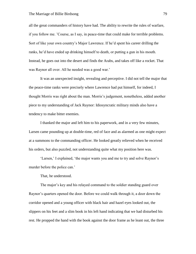all the great commanders of history have had. The ability to rewrite the rules of warfare, if you follow me. 'Course, as I say, in peace-time that could make for terrible problems. Sort of like your own country's Major Lawrence. If he'd spent his career drilling the ranks, he'd have ended up drinking himself to death, or putting a gun in his mouth. Instead, he goes out into the desert and finds the Arabs, and takes off like a rocket. That was Raynor all over. All he needed was a good war.'

It was an unexpected insight, revealing and perceptive. I did not tell the major that the peace-time ranks were precisely where Lawrence had put himself, for indeed, I thought Morris was right about the man. Morris's judgement, nonetheless, added another piece to my understanding of Jack Raynor: Idiosyncratic military minds also have a tendency to make bitter enemies.

I thanked the major and left him to his paperwork, and in a very few minutes, Larsen came pounding up at double-time, red of face and as alarmed as one might expect at a summons to the commanding officer. He looked greatly relieved when he received his orders, but also puzzled, not understanding quite what my position here was.

'Larsen,' I explained, 'the major wants you and me to try and solve Raynor's murder before the police can.'

That, he understood.

The major's key and his relayed command to the soldier standing guard over Raynor's quarters opened the door. Before we could walk through it, a door down the corridor opened and a young officer with black hair and hazel eyes looked out, the slippers on his feet and a slim book in his left hand indicating that we had disturbed his rest. He propped the hand with the book against the door frame as he leant out, the three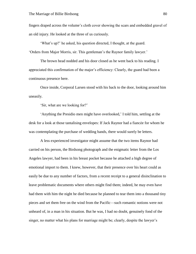fingers draped across the volume's cloth cover showing the scars and embedded gravel of an old injury. He looked at the three of us curiously.

'What's up?' he asked, his question directed, I thought, at the guard. 'Orders from Major Morris, sir. This gentleman's the Raynor family lawyer.'

The brown head nodded and his door closed as he went back to his reading. I appreciated this confirmation of the major's efficiency: Clearly, the guard had been a continuous presence here.

Once inside, Corporal Larsen stood with his back to the door, looking around him uneasily.

'Sir, what are we looking for?'

'Anything the Presidio men might have overlooked,' I told him, settling at the desk for a look at those tantalising envelopes: If Jack Raynor had a fiancée for whom he was contemplating the purchase of wedding bands, there would surely be letters.

A less experienced investigator might assume that the two items Raynor had carried on his person, the Birdsong photograph and the enigmatic letter from the Los Angeles lawyer, had been in his breast pocket because he attached a high degree of emotional import to them. I knew, however, that their presence over his heart could as easily be due to any number of factors, from a recent receipt to a general disinclination to leave problematic documents where others might find them; indeed, he may even have had them with him the night he died because he planned to tear them into a thousand tiny pieces and set them free on the wind from the Pacific—such romantic notions were not unheard of, in a man in his situation. But he was, I had no doubt, genuinely fond of the singer, no matter what his plans for marriage might be; clearly, despite the lawyer's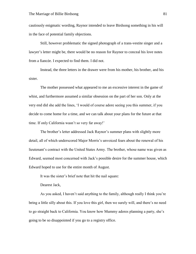cautiously enigmatic wording, Raynor intended to leave Birdsong something in his will in the face of potential family objections.

Still, however problematic the signed photograph of a trans-vestite singer and a lawyer's letter might be, there would be no reason for Raynor to conceal his love notes from a fiancée. I expected to find them. I did not.

Instead, the three letters in the drawer were from his mother, his brother, and his sister.

The mother possessed what appeared to me an excessive interest in the game of whist, and furthermore assumed a similar obsession on the part of her son. Only at the very end did she add the lines, 'I would of course adore seeing you this summer, if you decide to come home for a time, and we can talk about your plans for the future at that time. If only California wasn't so very far away!'

The brother's letter addressed Jack Raynor's summer plans with slightly more detail, all of which underscored Major Morris's unvoiced fears about the renewal of his lieutenant's contract with the United States Army. The brother, whose name was given as Edward, seemed most concerned with Jack's possible desire for the summer house, which Edward hoped to use for the entire month of August.

It was the sister's brief note that hit the nail square:

Dearest Jack,

As you asked, I haven't said anything to the family, although really I think you're being a little silly about this. If you love this girl, then we surely will, and there's no need to go straight back to California. You know how Mummy adores planning a party, she's going to be so disappointed if you go to a registry office.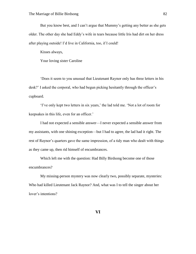But you know best, and I can't argue that Mummy's getting any better as she gets older. The other day she had Eddy's wife in tears because little Iris had dirt on her dress after playing outside! I'd live in California, too, if I could!

Kisses always,

Your loving sister Caroline

'Does it seem to you unusual that Lieutenant Raynor only has three letters in his desk?' I asked the corporal, who had begun picking hesitantly through the officer's cupboard.

'I've only kept two letters in six years,' the lad told me. 'Not a lot of room for keepsakes in this life, even for an officer.'

I had not expected a sensible answer—I never expected a sensible answer from my assistants, with one shining exception—but I had to agree, the lad had it right. The rest of Raynor's quarters gave the same impression, of a tidy man who dealt with things as they came up, then rid himself of encumbrances.

Which left me with the question: Had Billy Birdsong become one of those encumbrances?

My missing-person mystery was now clearly two, possibly separate, mysteries: Who had killed Lieutenant Jack Raynor? And, what was I to tell the singer about her lover's intentions?

**VI**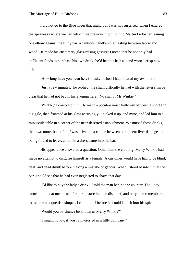I did not go to the Blue Tiger that night, but I was not surprised, when I entered the speakeasy where we had left off the previous night, to find Martin Ledbetter leaning one elbow against the filthy bar, a cautious handkerchief resting between fabric and wood. He made his customary glass-raising gesture; I noted that he not only had sufficient funds to purchase his own drink, he'd had his hair cut and wore a crisp new shirt.

'How long have you been here?' I asked when I had ordered my own drink.

'Just a few minutes,' he replied; the slight difficulty he had with the letter s made clear that he had not begun his evening here. 'No sign of Mr Winkie.'

'Winkle,' I corrected him. He made a peculiar noise half-way between a snort and a giggle, then frowned at his glass accusingly. I picked it up, and mine, and led him to a minuscule table in a corner of the near-deserted establishment. We nursed those drinks, then two more, but before I was driven to a choice between permanent liver damage and being forced to leave, a man in a dress came into the bar.

His appearance answered a question: Other than the clothing, Merry Winkle had made no attempt to disguise himself as a female. A customer would have had to be blind, deaf, and dead drunk before making a mistake of gender. When I stood beside him at the bar, I could see that he had even neglected to shave that day.

'I'd like to buy the lady a drink,' I told the man behind the counter. The 'lady' turned to look at me, turned farther to stare in open disbelief, and only then remembered to assume a coquettish simper. I cut him off before he could launch into his spiel.

'Would you by chance be known as Merry Winkle?'

'I might, honey, if you're interested in a little company.'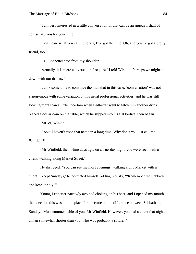'I am very interested in a little conversation, if that can be arranged? I shall of course pay you for your time.'

'Don't care what you call it, honey, I've got the time. Oh, and you've got a pretty friend, too.'

'Er,' Ledbetter said from my shoulder.

'Actually, it is mere conversation I require,' I told Winkle. 'Perhaps we might sit down with our drinks?'

It took some time to convince the man that in this case, 'conversation' was not synonymous with some variation on his usual professional activities, and he was still looking more than a little uncertain when Ledbetter went to fetch him another drink. I placed a dollar coin on the table, which he slipped into his flat bodice, then began.

'Mr, er, Winkle.'

'Look, I haven't used that name in a long time. Why don't you just call me Winfield?'

'Mr Winfield, then. Nine days ago, on a Tuesday night, you were seen with a client, walking along Market Street.'

He shrugged. 'You can see me most evenings, walking along Market with a client. Except Sundays,' he corrected himself, adding piously, '"Remember the Sabbath and keep it holy."'

Young Ledbetter narrowly avoided choking on his beer, and I opened my mouth, then decided this was not the place for a lecture on the difference between Sabbath and Sunday. 'Most commendable of you, Mr Winfield. However, you had a client that night, a man somewhat shorter than you, who was probably a soldier.'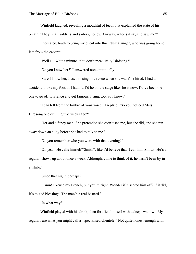Winfield laughed, revealing a mouthful of teeth that explained the state of his breath. 'They're all soldiers and sailors, honey. Anyway, who is it says he saw me?'

I hesitated, loath to bring my client into this. 'Just a singer, who was going home late from the cabaret.'

'Well I—Wait a minute. You don't mean Billy Birdsong?'

'Do you know her?' I answered noncommittally.

'Sure I know her, I used to sing in a revue when she was first hired. I had an accident, broke my foot. If I hadn't, I'd be on the stage like she is now. I'd've been the one to go off to France and get famous. I sing, too, you know.'

'I can tell from the timbre of your voice,' I replied. 'So you noticed Miss Birdsong one evening two weeks ago?'

'Her and a fancy man. She pretended she didn't see me, but she did, and she ran away down an alley before she had to talk to me.'

'Do you remember who you were with that evening?'

'Oh yeah. He calls himself "Smith", like I'd believe that. I call him Smitty. He's a regular, shows up about once a week. Although, come to think of it, he hasn't been by in a while.'

'Since that night, perhaps?'

'Damn! Excuse my French, but you're right. Wonder if it scared him off? If it did, it's mixed blessings. The man's a real bastard.'

'In what way?'

Winfield played with his drink, then fortified himself with a deep swallow. 'My regulars are what you might call a "specialised clientele." Not quite honest enough with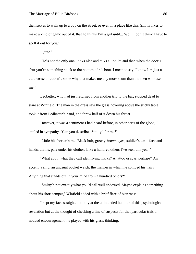themselves to walk up to a boy on the street, or even in a place like this. Smitty likes to make a kind of game out of it, that he thinks I'm a girl until... Well, I don't think I have to spell it out for you.'

'Quite.'

'He's not the only one, looks nice and talks all polite and then when the door's shut you're something stuck to the bottom of his boot. I mean to say, I know I'm just a... . a... vessel, but don't know why that makes me any more scum than the men who use me.'

Ledbetter, who had just returned from another trip to the bar, stopped dead to stare at Winfield. The man in the dress saw the glass hovering above the sticky table, took it from Ledbetter's hand, and threw half of it down his throat.

However, it was a sentiment I had heard before, in other parts of the globe; I smiled in sympathy. 'Can you describe "Smitty" for me?'

'Little bit shorter'n me. Black hair, greeny-brown eyes, soldier's tan—face and hands, that is, pale under his clothes. Like a hundred others I've seen this year.'

'What about what they call identifying marks? A tattoo or scar, perhaps? An accent, a ring, an unusual pocket watch, the manner in which he combed his hair? Anything that stands out in your mind from a hundred others?'

'Smitty's not exactly what you'd call well endowed. Maybe explains something about his short temper,' Winfield added with a brief flare of bitterness.

I kept my face straight, not only at the unintended humour of this psychological revelation but at the thought of checking a line of suspects for that particular trait. I nodded encouragement; he played with his glass, thinking.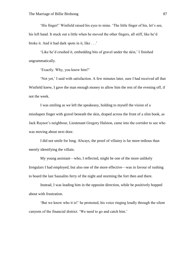'His finger!' Winfield raised his eyes to mine. 'The little finger of his, let's see, his left hand. It stuck out a little when he moved the other fingers, all stiff, like he'd broke it. And it had dark spots in it, like . . .'

'Like he'd crushed it, embedding bits of gravel under the skin,' I finished ungrammatically.

'Exactly. Why, you know him?'

'Not yet,' I said with satisfaction. A few minutes later, sure I had received all that Winfield knew, I gave the man enough money to allow him the rest of the evening off, if not the week.

I was smiling as we left the speakeasy, holding to myself the vision of a misshapen finger with gravel beneath the skin, draped across the front of a slim book, as Jack Raynor's neighbour, Lieutenant Gregory Halston, came into the corridor to see who was moving about next door.

I did not smile for long. Always, the proof of villainy is far more tedious than merely identifying the villain.

My young assistant—who, I reflected, might be one of the more unlikely Irregulars I had employed, but also one of the more effective—was in favour of rushing to board the last Sausalito ferry of the night and storming the fort then and there.

Instead, I was leading him in the opposite direction, while he positively hopped about with frustration.

'But we know who it is!' he protested, his voice ringing loudly through the silent canyons of the financial district. 'We need to go and catch him.'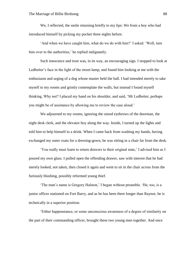We, I reflected, the smile returning briefly to my lips: We from a boy who had introduced himself by picking my pocket three nights before.

'And when we have caught him, what do we do with him?' I asked. 'Well, turn him over to the authorities,' he replied indignantly.

Such innocence and trust was, in its way, an encouraging sign. I stopped to look at Ledbetter's face in the light of the street-lamp, and found him looking at me with the enthusiasm and urging of a dog whose master held the ball. I had intended merely to take myself to my rooms and grimly contemplate the walls, but instead I found myself thinking, Why not? I placed my hand on his shoulder, and said, 'Mr Ledbetter, perhaps you might be of assistance by allowing me to review the case aloud.'

We adjourned to my rooms, ignoring the raised eyebrows of the doorman, the night desk clerk, and the elevator boy along the way. Inside, I turned up the lights and told him to help himself to a drink. When I came back from washing my hands, having exchanged my outer coats for a dressing-gown, he was sitting in a chair far from the desk.

'You really must learn to return drawers to their original state,' I advised him as I poured my own glass. I pulled open the offending drawer, saw with interest that he had merely looked, not taken, then closed it again and went to sit in the chair across from the furiously blushing, possibly reformed young thief.

'The man's name is Gregory Halston,' I began without preamble. 'He, too, is a junior officer stationed on Fort Barry, and as he has been there longer than Raynor, he is technically in a superior position.

'Either happenstance, or some unconscious awareness of a degree of similarity on the part of their commanding officer, brought these two young men together. And once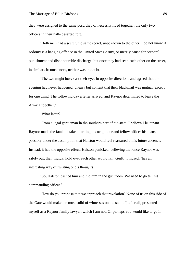they were assigned to the same post, they of necessity lived together, the only two officers in their half- deserted fort.

'Both men had a secret, the same secret, unbeknown to the other. I do not know if sodomy is a hanging offence in the United States Army, or merely cause for corporal punishment and dishonourable discharge, but once they had seen each other on the street, in similar circumstances, neither was in doubt.

'The two might have cast their eyes in opposite directions and agreed that the evening had never happened, uneasy but content that their blackmail was mutual, except for one thing: The following day a letter arrived, and Raynor determined to leave the Army altogether.'

'What letter?'

'From a legal gentleman in the southern part of the state. I believe Lieutenant Raynor made the fatal mistake of telling his neighbour and fellow officer his plans, possibly under the assumption that Halston would feel reassured at his future absence. Instead, it had the opposite effect: Halston panicked, believing that once Raynor was safely out, their mutual hold over each other would fail. Guilt,' I mused, 'has an interesting way of twisting one's thoughts.'

'So, Halston bashed him and hid him in the gun room. We need to go tell his commanding officer.'

'How do you propose that we approach that revelation? None of us on this side of the Gate would make the most solid of witnesses on the stand. I, after all, presented myself as a Raynor family lawyer, which I am not. Or perhaps you would like to go in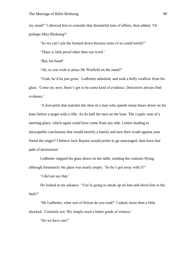my stead?' I allowed him to consider that distasteful turn of affairs, then added, 'Or perhaps Miss Birdsong?'

'So we can't pin the bastard down because none of us could testify?'

'There is little proof other than our word.'

'But, his hand!'

'Ah, so you wish to place Mr Winfield on the stand?'

'Yeah, he'd be just great,' Ledbetter admitted, and took a hefty swallow from his glass. 'Come on, now, there's got to be some kind of evidence. Detectives always find evidence.'

'A foot-print that matches the shoe of a man who spends many hours down on his knee before a target with a rifle. As do half the men on the base. The cryptic note of a meeting-place, which again could have come from any side. Letters leading to inescapable conclusions that would mortify a family and turn their wrath against your friend the singer? I believe Jack Raynor would prefer to go unavenged, than have that path of destruction.'

Ledbetter slapped his glass down on the table, sending the contents flying, although fortunately the glass was nearly empty. 'So he's got away with it?'

'I did not say that.'

He looked at me askance. 'You're going to sneak up on him and shoot him in the back?'

'Mr Ledbetter, what sort of fiction do you read?' I asked, more than a little shocked. 'Certainly not. We simply need a better grade of witness.'

'Do we have one?'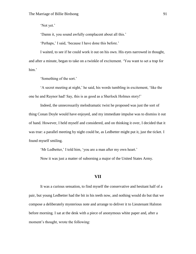'Not yet.'

'Damn it, you sound awfully complacent about all this.'

'Perhaps,' I said, 'because I have done this before.'

I waited, to see if he could work it out on his own. His eyes narrowed in thought, and after a minute, began to take on a twinkle of excitement. 'You want to set a trap for him.'

'Something of the sort.'

'A secret meeting at night,' he said, his words tumbling in excitement, 'like the one he and Raynor had! Say, this is as good as a Sherlock Holmes story!'

Indeed, the unnecessarily melodramatic twist he proposed was just the sort of thing Conan Doyle would have enjoyed, and my immediate impulse was to dismiss it out of hand. However, I held myself and considered, and on thinking it over, I decided that it was true: a parallel meeting by night could be, as Ledbetter might put it, just the ticket. I found myself smiling.

'Mr Ledbetter,' I told him, 'you are a man after my own heart.'

Now it was just a matter of suborning a major of the United States Army.

## **VII**

It was a curious sensation, to find myself the conservative and hesitant half of a pair, but young Ledbetter had the bit in his teeth now, and nothing would do but that we compose a deliberately mysterious note and arrange to deliver it to Lieutenant Halston before morning. I sat at the desk with a piece of anonymous white paper and, after a moment's thought, wrote the following: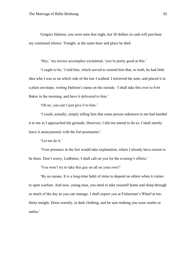Gregory Halston, you were seen that night, but 50 dollars in cash will purchase my continued silence. Tonight, at the same hour and place he died.

'Hey,' my novice accomplice exclaimed, 'you're pretty good at this.'

'I ought to be,' I told him, which served to remind him that, in truth, he had little idea who I was or on which side of the law I walked. I retrieved the note, and placed it in a plain envelope, writing Halston's name on the outside. 'I shall take this over to Fort Baker in the morning, and have it delivered to him.'

'Oh no, you can't just give it to him.'

'I could, actually, simply telling him that some person unknown to me had handed it to me as I approached the grounds. However, I did not intend to do so. I shall merely leave it anonymously with the fort postmaster.'

'Let me do it.'

'Your presence in the fort would take explanation, where I already have reason to be there. Don't worry, Ledbetter, I shall call on you for the evening's efforts.'

'You won't try to take this guy on all on your own?'

'By no means. It is a long-time habit of mine to depend on others when it comes to open warfare. And now, young man, you need to take yourself home and sleep through as much of the day as you can manage. I shall expect you at Fisherman's Wharf at tenthirty tonight. Dress warmly, in dark clothing, and be sure nothing you wear rustles or rattles.'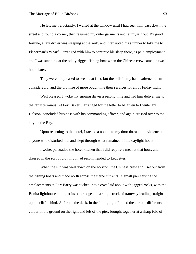He left me, reluctantly. I waited at the window until I had seen him pass down the street and round a corner, then resumed my outer garments and let myself out. By good fortune, a taxi driver was sleeping at the kerb, and interrupted his slumber to take me to Fisherman's Wharf. I arranged with him to continue his sleep there, as paid employment, and I was standing at the oddly-rigged fishing boat when the Chinese crew came up two hours later.

They were not pleased to see me at first, but the bills in my hand softened them considerably, and the promise of more bought me their services for all of Friday night.

Well pleased, I woke my snoring driver a second time and had him deliver me to the ferry terminus. At Fort Baker, I arranged for the letter to be given to Lieutenant Halston, concluded business with his commanding officer, and again crossed over to the city on the Bay.

Upon returning to the hotel, I tacked a note onto my door threatening violence to anyone who disturbed me, and slept through what remained of the daylight hours.

I woke, persuaded the hotel kitchen that I did require a meal at that hour, and dressed in the sort of clothing I had recommended to Ledbetter.

When the sun was well down on the horizon, the Chinese crew and I set out from the fishing boats and made north across the fierce currents. A small pier serving the emplacements at Fort Barry was tucked into a cove laid about with jagged rocks, with the Bonita lighthouse sitting at its outer edge and a single track of tramway leading straight up the cliff behind. As I rode the deck, in the fading light I noted the curious difference of colour in the ground on the right and left of the pier, brought together at a sharp fold of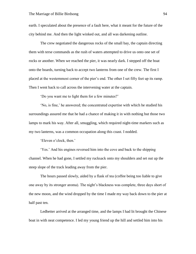earth. I speculated about the presence of a fault here, what it meant for the future of the city behind me. And then the light winked out, and all was darkening outline.

The crew negotiated the dangerous rocks of the small bay, the captain directing them with terse commands as the rush of waters attempted to drive us onto one set of rocks or another. When we reached the pier, it was nearly dark. I stepped off the boat onto the boards, turning back to accept two lanterns from one of the crew. The first I placed at the westernmost corner of the pier's end. The other I set fifty feet up its ramp. Then I went back to call across the intervening water at the captain.

'Do you want me to light them for a few minutes?'

'No, is fine,' he answered; the concentrated expertise with which he studied his surroundings assured me that he had a chance of making it in with nothing but those two lamps to mark his way. After all, smuggling, which required night-time markers such as my two lanterns, was a common occupation along this coast. I nodded.

'Eleven o'clock, then.'

'Yes.' And his engines reversed him into the cove and back to the shipping channel. When he had gone, I settled my rucksack onto my shoulders and set out up the steep slope of the track leading away from the pier.

The hours passed slowly, aided by a flask of tea (coffee being too liable to give one away by its stronger aroma). The night's blackness was complete, three days short of the new moon, and the wind dropped by the time I made my way back down to the pier at half past ten.

Ledbetter arrived at the arranged time, and the lamps I had lit brought the Chinese boat in with neat competence. I led my young friend up the hill and settled him into his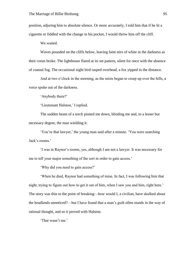position, adjuring him to absolute silence. Or more accurately, I told him that if he lit a cigarette or fiddled with the change in his pocket, I would throw him off the cliff.

We waited.

Waves pounded on the cliffs below, leaving faint stirs of white in the darkness as their crests broke. The lighthouse flared at its set pattern, silent for once with the absence of coastal fog. The occasional night bird rasped overhead, a fox yipped in the distance.

And at two o'clock in the morning, as the mists began to creep up over the hills, a voice spoke out of the darkness.

'Anybody there?'

'Lieutenant Halston,' I replied.

The sudden beam of a torch pinned me down, blinding me and, to a lesser but necessary degree, the man wielding it.

'You're that lawyer,' the young man said after a minute. 'You were searching Jack's rooms.'

'I was in Raynor's rooms, yes, although I am not a lawyer. It was necessary for me to tell your major something of the sort in order to gain access.'

'Why did you need to gain access?'

'When he died, Raynor had something of mine. In fact, I was following him that night, trying to figure out how to get it out of him, when I saw you and him, right here.' The story was thin to the point of breaking—how would I, a civilian, have skulked about the headlands unnoticed?—but I have found that a man's guilt often stands in the way of rational thought, and so it proved with Halston.

'That wasn't me.'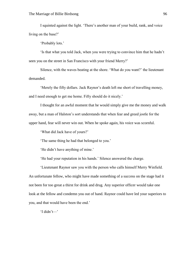I squinted against the light. 'There's another man of your build, rank, and voice living on the base?'

'Probably lots.'

'Is that what you told Jack, when you were trying to convince him that he hadn't seen you on the street in San Francisco with your friend Merry?'

Silence, with the waves beating at the shore. 'What do you want?' the lieutenant demanded.

'Merely the fifty dollars. Jack Raynor's death left me short of travelling money, and I need enough to get me home. Fifty should do it nicely.'

I thought for an awful moment that he would simply give me the money and walk away, but a man of Halston's sort understands that when fear and greed jostle for the upper hand, fear will never win out. When he spoke again, his voice was scornful.

'What did Jack have of yours?'

'The same thing he had that belonged to you.'

'He didn't have anything of mine.'

'He had your reputation in his hands.' Silence answered the charge.

'Lieutenant Raynor saw you with the person who calls himself Merry Winfield. An unfortunate fellow, who might have made something of a success on the stage had it not been for too great a thirst for drink and drug. Any superior officer would take one look at the fellow and condemn you out of hand. Raynor could have led your superiors to you, and that would have been the end.'

'I didn't—'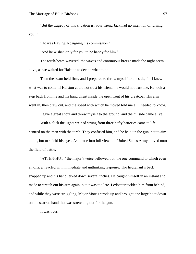'But the tragedy of this situation is, your friend Jack had no intention of turning you in.'

'He was leaving. Resigning his commission.'

'And he wished only for you to be happy for him.'

The torch-beam wavered, the waves and continuous breeze made the night seem alive, as we waited for Halston to decide what to do.

Then the beam held firm, and I prepared to throw myself to the side, for I knew what was to come: If Halston could not trust his friend, he would not trust me. He took a step back from me and his hand thrust inside the open front of his greatcoat. His arm went in, then drew out, and the speed with which he moved told me all I needed to know.

I gave a great shout and threw myself to the ground, and the hillside came alive.

With a click the lights we had strung from three hefty batteries came to life, centred on the man with the torch. They confused him, and he held up the gun, not to aim at me, but to shield his eyes. As it rose into full view, the United States Army moved onto the field of battle.

'ATTEN-HUT!' the major's voice bellowed out, the one command to which even an officer reacted with immediate and unthinking response. The lieutenant's back snapped up and his hand jerked down several inches. He caught himself in an instant and made to stretch out his arm again, but it was too late. Ledbetter tackled him from behind, and while they were struggling, Major Morris strode up and brought one large boot down on the scarred hand that was stretching out for the gun.

It was over.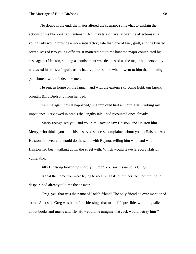No doubt in the end, the major altered the scenario somewhat to explain the actions of his black-haired lieutenant. A flimsy tale of rivalry over the affections of a young lady would provide a more satisfactory tale than one of fear, guilt, and the twisted secret lives of two young officers. It mattered not to me how the major constructed his case against Halston, so long as punishment was dealt. And as the major had personally witnessed his officer's guilt, as he had required of me when I went to him that morning, punishment would indeed be meted.

He sent us home on the launch, and with the eastern sky going light, our knock brought Billy Birdsong from her bed.

'Tell me again how it happened,' she implored half an hour later. Curbing my impatience, I reviewed in précis the lengthy tale I had recounted once already.

'Merry recognised you, and you him; Raynor saw Halston, and Halston him. Merry, who thinks you stole his deserved success, complained about you to Halston. And Halston believed you would do the same with Raynor, telling him who, and what, Halston had been walking down the street with. Which would leave Gregory Halston vulnerable.'

Billy Birdsong looked up sharply. 'Greg? You say his name is Greg?'

'Is that the name you were trying to recall?' I asked, but her face, crumpling in despair, had already told me the answer.

'Greg, yes, that was the name of Jack's friend! The only friend he ever mentioned to me. Jack said Greg was one of the blessings that made life possible, with long talks about books and music and life. How could he imagine that Jack would betray him?'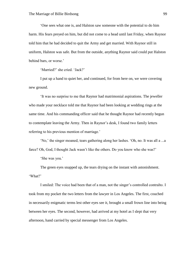'One sees what one is, and Halston saw someone with the potential to do him harm. His fears preyed on him, but did not come to a head until last Friday, when Raynor told him that he had decided to quit the Army and get married. With Raynor still in uniform, Halston was safe. But from the outside, anything Raynor said could put Halston behind bars, or worse.'

'Married?' she cried. 'Jack?'

I put up a hand to quiet her, and continued, for from here on, we were covering new ground.

'It was no surprise to me that Raynor had matrimonial aspirations. The jeweller who made your necklace told me that Raynor had been looking at wedding rings at the same time. And his commanding officer said that he thought Raynor had recently begun to contemplate leaving the Army. Then in Raynor's desk, I found two family letters referring to his previous mention of marriage.'

'No,' the singer moaned, tears gathering along her lashes. 'Oh, no. It was all a ...a farce? Oh, God, I thought Jack wasn't like the others. Do you know who she was?'

'She was you.'

The green eyes snapped up, the tears drying on the instant with astonishment. 'What?'

I smiled: The voice had been that of a man, not the singer's controlled contralto. I took from my pocket the two letters from the lawyer in Los Angeles. The first, couched in necessarily enigmatic terms lest other eyes see it, brought a small frown line into being between her eyes. The second, however, had arrived at my hotel as I slept that very afternoon, hand carried by special messenger from Los Angeles.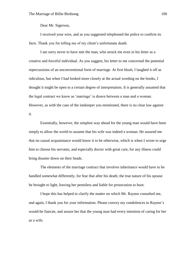Dear Mr. Sigerson,

I received your wire, and as you suggested telephoned the police to confirm its facts. Thank you for telling me of my client's unfortunate death.

I am sorry never to have met the man, who struck me even in his letter as a creative and forceful individual. As you suggest, his letter to me concerned the potential repercussions of an unconventional form of marriage. At first blush, I laughed it off as ridiculous, but when I had looked more closely at the actual wording on the books, I thought it might be open to a certain degree of interpretation. It is generally assumed that the legal contract we know as 'marriage' is drawn between a man and a woman. However, as with the case of the innkeeper you mentioned, there is no clear law against it.

Essentially, however, the simplest way ahead for the young man would have been simply to allow the world to assume that his wife was indeed a woman. He assured me that no casual acquaintance would know it to be otherwise, which is when I wrote to urge him to choose his servants, and especially doctor with great care, for any illness could bring disaster down on their heads.

The elements of the marriage contract that involves inheritance would have to be handled somewhat differently, for fear that after his death, the true nature of his spouse be brought to light, leaving her penniless and liable for prosecution to boot.

I hope this has helped to clarify the matter on which Mr. Raynor consulted me, and again, I thank you for your information. Please convey my condolences to Raynor's would-be fiancée, and assure her that the young man had every intention of caring for her as a wife.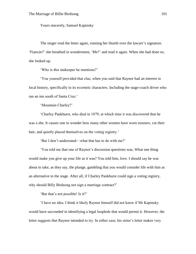Yours sincerely, Samuel Kapinsky

The singer read the letter again, running her thumb over the lawyer's signature. 'Fiancée?' she breathed in wonderment, 'Me?' and read it again. When she had done so, she looked up.

'Who is this innkeeper he mentions?'

'You yourself provided that clue, when you said that Raynor had an interest in local history, specifically in its eccentric characters. Including the stage-coach driver who ran an inn south of Santa Cruz.'

'Mountain Charley?'

'Charley Pankhurst, who died in 1879, at which time it was discovered that he was a she. It causes one to wonder how many other women have worn trousers, cut their hair, and quietly placed themselves on the voting registry.'

'But I don't understand—what that has to do with me?'

'You told me that one of Raynor's discussion questions was, What one thing would make you give up your life as it was? You told him, love. I should say he was about to take, as they say, the plunge, gambling that you would consider life with him as an alternative to the stage. After all, if Charley Pankhurst could sign a voting registry, why should Billy Birdsong not sign a marriage contract?'

'But that's not possible! Is it?'

'I have no idea. I think it likely Raynor himself did not know if Mr Kapinsky would have succeeded in identifying a legal loophole that would permit it. However, the letter suggests that Raynor intended to try. In either case, his sister's letter makes very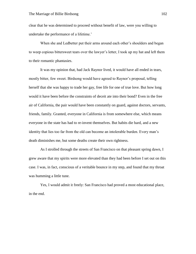clear that he was determined to proceed without benefit of law, were you willing to undertake the performance of a lifetime.'

When she and Ledbetter put their arms around each other's shoulders and began to weep copious bittersweet tears over the lawyer's letter, I took up my hat and left them to their romantic phantasies.

It was my opinion that, had Jack Raynor lived, it would have all ended in tears, mostly bitter, few sweet. Birdsong would have agreed to Raynor's proposal, telling herself that she was happy to trade her gay, free life for one of true love. But how long would it have been before the constraints of deceit ate into their bond? Even in the free air of California, the pair would have been constantly on guard, against doctors, servants, friends, family. Granted, everyone in California is from somewhere else, which means everyone in the state has had to re-invent themselves. But habits die hard, and a new identity that lies too far from the old can become an intolerable burden. Every man's death diminishes me, but some deaths create their own rightness.

As I strolled through the streets of San Francisco on that pleasant spring dawn, I grew aware that my spirits were more elevated than they had been before I set out on this case. I was, in fact, conscious of a veritable bounce in my step, and found that my throat was humming a little tune.

Yes, I would admit it freely: San Francisco had proved a most educational place, in the end.